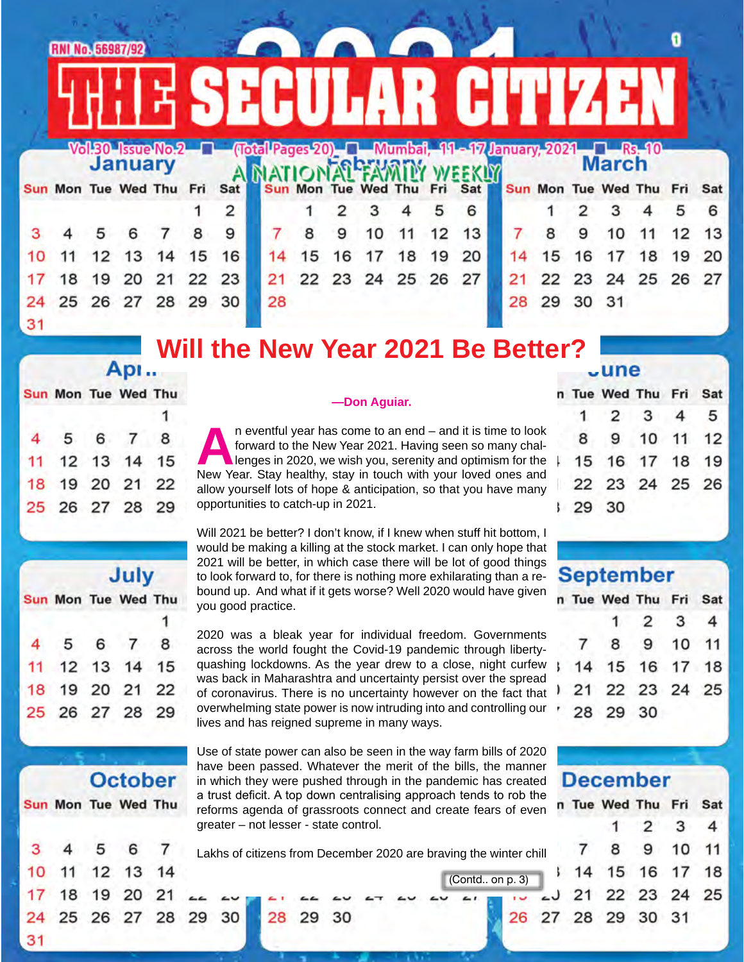|    | <b>RNI No. 56987/92</b> |    |                         |    |    |     |    |    |    |                |    |    | <b>CONCORDED</b>                                                            |    |                         |          |              |    |    |     |
|----|-------------------------|----|-------------------------|----|----|-----|----|----|----|----------------|----|----|-----------------------------------------------------------------------------|----|-------------------------|----------|--------------|----|----|-----|
|    |                         |    |                         |    |    |     |    |    |    |                |    |    | <b>ESECULAR GITIZEN</b>                                                     |    |                         |          |              |    |    |     |
|    |                         |    |                         |    |    |     |    |    |    |                |    |    | Vol.30 Issue No.2   Cotal Pages 20   Mumbal, 11 - 17 January, 2021   Rs. 10 |    |                         |          |              |    |    |     |
|    |                         |    | <b>January</b>          |    |    |     |    |    |    |                |    |    |                                                                             |    |                         |          | <b>March</b> |    |    |     |
|    |                         |    | Sun Mon Tue Wed Thu Fri |    |    | Sat |    |    |    |                |    |    | Sun Mon Tue Wed Thu Fri Sat                                                 |    | Sun Mon Tue Wed Thu Fri |          |              |    |    | Sat |
|    |                         |    |                         |    |    | 2   |    |    | 2  | з              |    | 5  | 6                                                                           |    |                         | 2        | 3            | 4  | 5  | 6   |
|    |                         | 5  | 6                       |    | 8  | 9   |    | 8  | 9  | 10             | 11 | 12 | 13                                                                          |    | 8                       | 9        | 10           | 11 | 12 | 13  |
| 10 |                         | 12 | 13                      | 14 | 15 | 16  | 14 | 15 | 16 |                | 18 | 19 | 20                                                                          | 14 | 15                      | 16       |              | 18 | 19 | 20  |
|    | 18                      | 19 | 20                      | 21 | 22 | 23  |    |    |    | 22 23 24 25 26 |    |    | 27                                                                          |    |                         |          | 22 23 24 25  |    | 26 | 27  |
|    |                         |    | 25 26 27 28 29          |    |    | 30  | 28 |    |    |                |    |    |                                                                             | 28 |                         | 29 30 31 |              |    |    |     |
| 31 |                         |    |                         |    |    |     |    |    |    |                |    |    |                                                                             |    |                         |          |              |    |    |     |

# **Will the New Year 2021 Be Better?**

#### Sun Mon Tue Wed Thu

| 4 5 6 7 8      |  |  |
|----------------|--|--|
| 11 12 13 14 15 |  |  |
| 18 19 20 21 22 |  |  |
| 25 26 27 28 29 |  |  |
|                |  |  |

| July |                |  |  |  |  |  |
|------|----------------|--|--|--|--|--|
|      | Mon Tue Wed Th |  |  |  |  |  |
|      |                |  |  |  |  |  |
|      |                |  |  |  |  |  |

Sur

|  | 4 5 6 7 8      |                |  |
|--|----------------|----------------|--|
|  | 11 12 13 14 15 |                |  |
|  | 18 19 20 21 22 |                |  |
|  |                | 25 26 27 28 29 |  |

#### **—Don Aguiar.**

n eventful year has come to an end – and it is time to look<br>forward to the New Year 2021. Having seen so many chal-<br>lenges in 2020, we wish you, serenity and optimism for the<br>New Year. Stav healthy, stav in touch with your forward to the New Year 2021. Having seen so many challenges in 2020, we wish you, serenity and optimism for the New Year. Stay healthy, stay in touch with your loved ones and allow yourself lots of hope & anticipation, so that you have many opportunities to catch-up in 2021.

Will 2021 be better? I don't know, if I knew when stuff hit bottom, I would be making a killing at the stock market. I can only hope that 2021 will be better, in which case there will be lot of good things to look forward to, for there is nothing more exhilarating than a rebound up. And what if it gets worse? Well 2020 would have given you good practice.

2020 was a bleak year for individual freedom. Governments across the world fought the Covid-19 pandemic through libertyquashing lockdowns. As the year drew to a close, night curfew was back in Maharashtra and uncertainty persist over the spread of coronavirus. There is no uncertainty however on the fact that overwhelming state power is now intruding into and controlling our lives and has reigned supreme in many ways.

|                | <b>October</b> |  |                     |  |  |  |  |  |
|----------------|----------------|--|---------------------|--|--|--|--|--|
|                |                |  | Sun Mon Tue Wed Thu |  |  |  |  |  |
| 3 <sup>1</sup> |                |  | 4 5 6 7             |  |  |  |  |  |
|                |                |  | 10 11 12 13 14      |  |  |  |  |  |
|                |                |  | 17 18 19 20 21      |  |  |  |  |  |
|                |                |  | 24 25 26 27 28      |  |  |  |  |  |
| 24             |                |  |                     |  |  |  |  |  |

29

30

28.

29

30

Use of state power can also be seen in the way farm bills of 2020 have been passed. Whatever the merit of the bills, the manner in which they were pushed through in the pandemic has created a trust deficit. A top down centralising approach tends to rob the reforms agenda of grassroots connect and create fears of even greater – not lesser - state control.

Lakhs of citizens from December 2020 are braving the winter chill

(Contd.. on p. 3)

26 2

#### **June**

|  | 29 30 | n Tue Wed Thu Fri Sat<br>$1\quad 2\quad 3\quad 4\quad 5$<br>8 9 10 11 12<br>  15 16 17 18 19<br>22 23 24 25 26 |
|--|-------|----------------------------------------------------------------------------------------------------------------|

## **September**

|  | n Tue Wed Thu Fri Sat |                             |  |
|--|-----------------------|-----------------------------|--|
|  |                       | $1 \quad 2 \quad 3 \quad 4$ |  |
|  | 7 8 9 10 11           |                             |  |
|  | 14 15 16 17 18        |                             |  |
|  | 21 22 23 24 25        |                             |  |
|  | 28 29 30              |                             |  |

| <b>December</b> |  |                       |                             |  |  |  |
|-----------------|--|-----------------------|-----------------------------|--|--|--|
|                 |  | n Tue Wed Thu Fri Sat |                             |  |  |  |
|                 |  |                       | $1 \quad 2 \quad 3 \quad 4$ |  |  |  |
|                 |  | 7 8 9 10 11           |                             |  |  |  |
|                 |  | 14 15 16 17 18        |                             |  |  |  |
|                 |  | J 21 22 23 24 25      |                             |  |  |  |
|                 |  | 7 28 29 30 31         |                             |  |  |  |
|                 |  |                       |                             |  |  |  |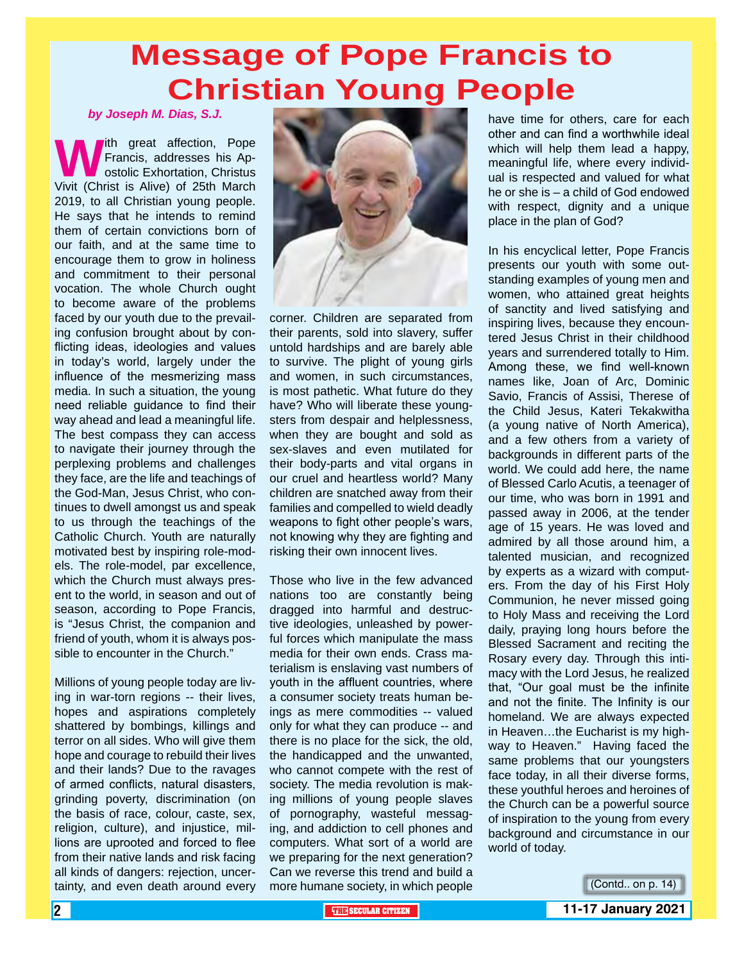# **Message of Pope Francis to Christian Young People**

*by Joseph M. Dias, S.J.*

**Which great affection, Pope Francis, addresses his Apostolic Exhortation, Christus Vivit (Christ is Alive) of 25th March** Francis, addresses his Apostolic Exhortation, Christus 2019, to all Christian young people. He says that he intends to remind them of certain convictions born of our faith, and at the same time to encourage them to grow in holiness and commitment to their personal vocation. The whole Church ought to become aware of the problems faced by our youth due to the prevailing confusion brought about by conflicting ideas, ideologies and values in today's world, largely under the influence of the mesmerizing mass media. In such a situation, the young need reliable guidance to find their way ahead and lead a meaningful life. The best compass they can access to navigate their journey through the perplexing problems and challenges they face, are the life and teachings of the God-Man, Jesus Christ, who continues to dwell amongst us and speak to us through the teachings of the Catholic Church. Youth are naturally motivated best by inspiring role-models. The role-model, par excellence, which the Church must always present to the world, in season and out of season, according to Pope Francis, is "Jesus Christ, the companion and friend of youth, whom it is always possible to encounter in the Church."

Millions of young people today are living in war-torn regions -- their lives, hopes and aspirations completely shattered by bombings, killings and terror on all sides. Who will give them hope and courage to rebuild their lives and their lands? Due to the ravages of armed conflicts, natural disasters, grinding poverty, discrimination (on the basis of race, colour, caste, sex, religion, culture), and injustice, millions are uprooted and forced to flee from their native lands and risk facing all kinds of dangers: rejection, uncertainty, and even death around every



corner. Children are separated from their parents, sold into slavery, suffer untold hardships and are barely able to survive. The plight of young girls and women, in such circumstances, is most pathetic. What future do they have? Who will liberate these youngsters from despair and helplessness, when they are bought and sold as sex-slaves and even mutilated for their body-parts and vital organs in our cruel and heartless world? Many children are snatched away from their families and compelled to wield deadly weapons to fight other people's wars, not knowing why they are fighting and risking their own innocent lives.

Those who live in the few advanced nations too are constantly being dragged into harmful and destructive ideologies, unleashed by powerful forces which manipulate the mass media for their own ends. Crass materialism is enslaving vast numbers of youth in the affluent countries, where a consumer society treats human beings as mere commodities -- valued only for what they can produce -- and there is no place for the sick, the old, the handicapped and the unwanted, who cannot compete with the rest of society. The media revolution is making millions of young people slaves of pornography, wasteful messaging, and addiction to cell phones and computers. What sort of a world are we preparing for the next generation? Can we reverse this trend and build a more humane society, in which people

have time for others, care for each other and can find a worthwhile ideal which will help them lead a happy, meaningful life, where every individual is respected and valued for what he or she is – a child of God endowed with respect, dignity and a unique place in the plan of God?

In his encyclical letter, Pope Francis presents our youth with some outstanding examples of young men and women, who attained great heights of sanctity and lived satisfying and inspiring lives, because they encountered Jesus Christ in their childhood years and surrendered totally to Him. Among these, we find well-known names like, Joan of Arc, Dominic Savio, Francis of Assisi, Therese of the Child Jesus, Kateri Tekakwitha (a young native of North America), and a few others from a variety of backgrounds in different parts of the world. We could add here, the name of Blessed Carlo Acutis, a teenager of our time, who was born in 1991 and passed away in 2006, at the tender age of 15 years. He was loved and admired by all those around him, a talented musician, and recognized by experts as a wizard with computers. From the day of his First Holy Communion, he never missed going to Holy Mass and receiving the Lord daily, praying long hours before the Blessed Sacrament and reciting the Rosary every day. Through this intimacy with the Lord Jesus, he realized that, "Our goal must be the infinite and not the finite. The Infinity is our homeland. We are always expected in Heaven…the Eucharist is my highway to Heaven." Having faced the same problems that our youngsters face today, in all their diverse forms, these youthful heroes and heroines of the Church can be a powerful source of inspiration to the young from every background and circumstance in our world of today.

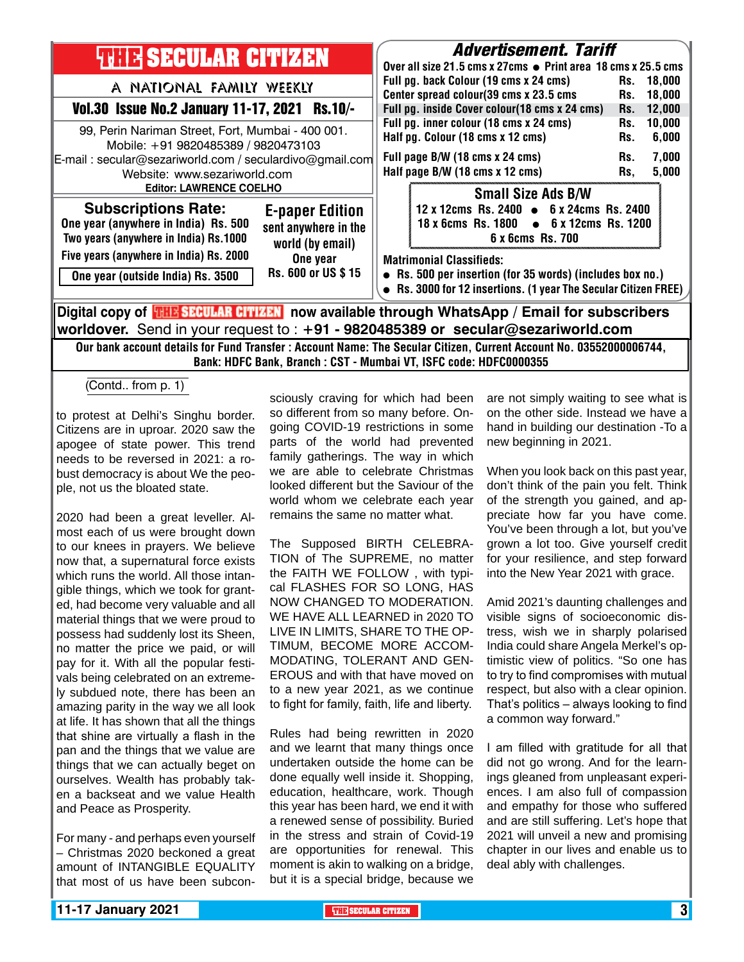| <b>THILE SECULAR CITIZEN</b>                                                                                                                                                                                        | <i><b>Advertisement. Tariff</b></i><br>Over all size 21.5 cms x 27cms • Print area 18 cms x 25.5 cms                                                                            |  |  |  |  |  |
|---------------------------------------------------------------------------------------------------------------------------------------------------------------------------------------------------------------------|---------------------------------------------------------------------------------------------------------------------------------------------------------------------------------|--|--|--|--|--|
| A NATIONAL FAMILY WEEKLY<br>$Rs.10/-$                                                                                                                                                                               | Full pg. back Colour (19 cms x 24 cms)<br>Rs. 18,000<br>Center spread colour(39 cms x 23.5 cms<br>18,000<br>Rs.                                                                 |  |  |  |  |  |
| <b>Vol.30 Issue No.2 January 11-17, 2021</b><br>99, Perin Nariman Street, Fort, Mumbai - 400 001.<br>Mobile: +91 9820485389 / 9820473103                                                                            | Full pg. inside Cover colour(18 cms x 24 cms)<br>12,000<br>Rs.<br>Full pg. inner colour (18 cms x 24 cms)<br>10,000<br>Rs.<br>Half pg. Colour (18 cms x 12 cms)<br>6,000<br>Rs. |  |  |  |  |  |
| E-mail: secular@sezariworld.com / seculardivo@gmail.com<br>Website: www.sezariworld.com                                                                                                                             | Full page B/W (18 cms x 24 cms)<br>7,000<br>Rs.<br>Half page B/W (18 cms x 12 cms)<br>5,000<br>Rs,                                                                              |  |  |  |  |  |
| <b>Editor: LAWRENCE COELHO</b><br><b>Subscriptions Rate:</b><br><b>E-paper Edition</b><br>One year (anywhere in India) Rs. 500<br>sent anywhere in the<br>Two years (anywhere in India) Rs.1000<br>world (by email) | <b>Small Size Ads B/W</b><br>12 x 12cms Rs. 2400 • 6 x 24cms Rs. 2400<br>18 x 6cms Rs. 1800 • 6 x 12cms Rs. 1200<br>6 x 6cms Rs. 700                                            |  |  |  |  |  |
| Five years (anywhere in India) Rs. 2000<br>One year<br>Rs. 600 or US \$15<br>One year (outside India) Rs. 3500                                                                                                      | <b>Matrimonial Classifieds:</b><br>• Rs. 500 per insertion (for 35 words) (includes box no.)<br>• Rs. 3000 for 12 insertions. (1 year The Secular Citizen FREE)                 |  |  |  |  |  |
| Digital copy of <b>THE SECULAR CITIZEN</b> now available through WhatsApp / Email for subscribers<br>worldover. Send in your request to : $+91$ - 9820485389 or secular@sezariworld.com                             |                                                                                                                                                                                 |  |  |  |  |  |

Our bank account details for Fund Transfer : Account Name: The Secular Citizen, Current Account No. 03552000006744, Bank: HDFC Bank, Branch : CST - Mumbai VT, ISFC code: HDFC0000355

(Contd.. from  $p. \overline{1)}$ 

to protest at Delhi's Singhu border. Citizens are in uproar. 2020 saw the apogee of state power. This trend needs to be reversed in 2021: a robust democracy is about We the people, not us the bloated state.

2020 had been a great leveller. Almost each of us were brought down to our knees in prayers. We believe now that, a supernatural force exists which runs the world. All those intangible things, which we took for granted, had become very valuable and all material things that we were proud to possess had suddenly lost its Sheen, no matter the price we paid, or will pay for it. With all the popular festivals being celebrated on an extremely subdued note, there has been an amazing parity in the way we all look at life. It has shown that all the things that shine are virtually a flash in the pan and the things that we value are things that we can actually beget on ourselves. Wealth has probably taken a backseat and we value Health and Peace as Prosperity.

For many - and perhaps even yourself – Christmas 2020 beckoned a great amount of INTANGIBLE EQUALITY that most of us have been subconsciously craving for which had been so different from so many before. Ongoing COVID-19 restrictions in some parts of the world had prevented family gatherings. The way in which we are able to celebrate Christmas looked different but the Saviour of the world whom we celebrate each year remains the same no matter what.

The Supposed BIRTH CELEBRA-TION of The SUPREME, no matter the FAITH WE FOLLOW , with typical FLASHES FOR SO LONG, HAS NOW CHANGED TO MODERATION. WE HAVE ALL LEARNED in 2020 TO LIVE IN LIMITS, SHARE TO THE OP-TIMUM, BECOME MORE ACCOM-MODATING, TOLERANT AND GEN-EROUS and with that have moved on to a new year 2021, as we continue to fight for family, faith, life and liberty.

Rules had being rewritten in 2020 and we learnt that many things once undertaken outside the home can be done equally well inside it. Shopping, education, healthcare, work. Though this year has been hard, we end it with a renewed sense of possibility. Buried in the stress and strain of Covid-19 are opportunities for renewal. This moment is akin to walking on a bridge, but it is a special bridge, because we are not simply waiting to see what is on the other side. Instead we have a hand in building our destination -To a new beginning in 2021.

When you look back on this past year, don't think of the pain you felt. Think of the strength you gained, and appreciate how far you have come. You've been through a lot, but you've grown a lot too. Give yourself credit for your resilience, and step forward into the New Year 2021 with grace.

Amid 2021's daunting challenges and visible signs of socioeconomic distress, wish we in sharply polarised India could share Angela Merkel's optimistic view of politics. "So one has to try to find compromises with mutual respect, but also with a clear opinion. That's politics – always looking to find a common way forward."

I am filled with gratitude for all that did not go wrong. And for the learnings gleaned from unpleasant experiences. I am also full of compassion and empathy for those who suffered and are still suffering. Let's hope that 2021 will unveil a new and promising chapter in our lives and enable us to deal ably with challenges.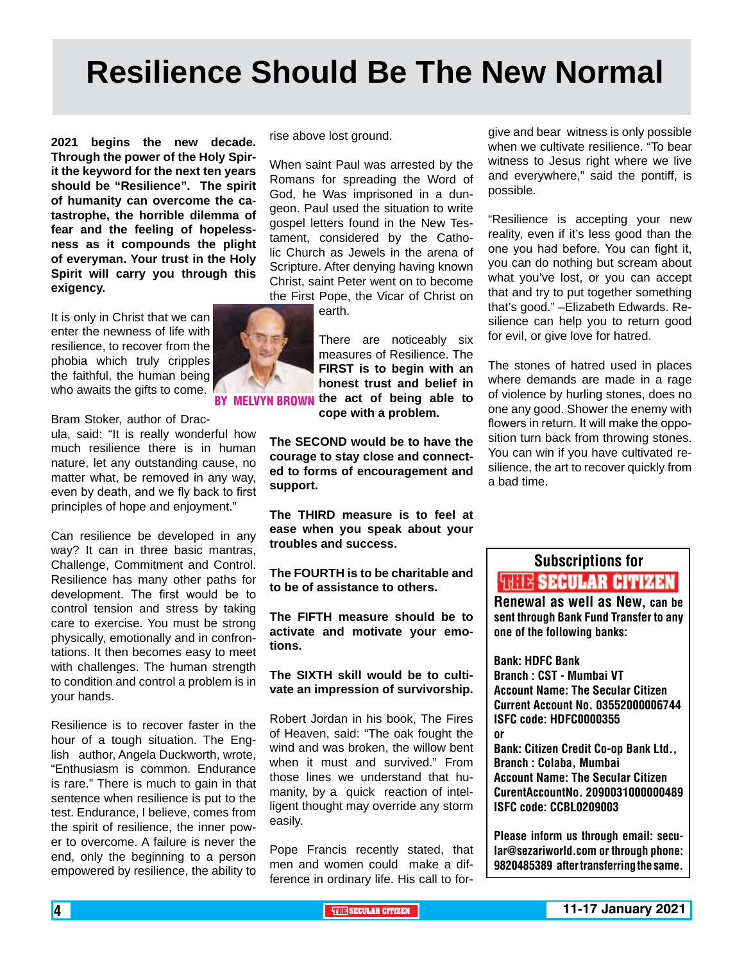# **Resilience Should Be The New Normal**

**2021 begins the new decade. Through the power of the Holy Spirit the keyword for the next ten years should be "Resilience". The spirit of humanity can overcome the catastrophe, the horrible dilemma of fear and the feeling of hopelessness as it compounds the plight of everyman. Your trust in the Holy Spirit will carry you through this exigency.**

It is only in Christ that we can enter the newness of life with resilience, to recover from the phobia which truly cripples the faithful, the human being who awaits the gifts to come.

Bram Stoker, author of Drac-

ula, said: "It is really wonderful how much resilience there is in human nature, let any outstanding cause, no matter what, be removed in any way, even by death, and we fly back to first principles of hope and enjoyment."

Can resilience be developed in any way? It can in three basic mantras, Challenge, Commitment and Control. Resilience has many other paths for development. The first would be to control tension and stress by taking care to exercise. You must be strong physically, emotionally and in confrontations. It then becomes easy to meet with challenges. The human strength to condition and control a problem is in your hands.

Resilience is to recover faster in the hour of a tough situation. The English author, Angela Duckworth, wrote, "Enthusiasm is common. Endurance is rare." There is much to gain in that sentence when resilience is put to the test. Endurance, I believe, comes from the spirit of resilience, the inner power to overcome. A failure is never the end, only the beginning to a person empowered by resilience, the ability to rise above lost ground.

When saint Paul was arrested by the Romans for spreading the Word of God, he Was imprisoned in a dungeon. Paul used the situation to write gospel letters found in the New Testament, considered by the Catholic Church as Jewels in the arena of Scripture. After denying having known Christ, saint Peter went on to become the First Pope, the Vicar of Christ on

earth.

There are noticeably six measures of Resilience. The **FIRST is to begin with an honest trust and belief in**  BY MELVYN BROWN the act of being able to

**cope with a problem.**

**The SECOND would be to have the courage to stay close and connected to forms of encouragement and support.**

**The THIRD measure is to feel at ease when you speak about your troubles and success.**

**The FOURTH is to be charitable and to be of assistance to others.**

**The FIFTH measure should be to activate and motivate your emotions.**

**The SIXTH skill would be to cultivate an impression of survivorship.**

Robert Jordan in his book, The Fires of Heaven, said: "The oak fought the wind and was broken, the willow bent when it must and survived." From those lines we understand that humanity, by a quick reaction of intelligent thought may override any storm easily.

Pope Francis recently stated, that men and women could make a difference in ordinary life. His call to for-

give and bear witness is only possible when we cultivate resilience. "To bear witness to Jesus right where we live and everywhere," said the pontiff, is possible.

"Resilience is accepting your new reality, even if it's less good than the one you had before. You can fight it, you can do nothing but scream about what you've lost, or you can accept that and try to put together something that's good." –Elizabeth Edwards. Resilience can help you to return good for evil, or give love for hatred.

The stones of hatred used in places where demands are made in a rage of violence by hurling stones, does no one any good. Shower the enemy with flowers in return. It will make the opposition turn back from throwing stones. You can win if you have cultivated resilience, the art to recover quickly from a bad time.

## Subscriptions for **THIT'S SECULAR CITIZEN**<br>Renewal as well as New, can be

sent through Bank Fund Transfer to any one of the following banks:

Bank: HDFC Bank Branch : CST - Mumbai VT Account Name: The Secular Citizen Current Account No. 03552000006744 ISFC code: HDFC0000355 or Bank: Citizen Credit Co-op Bank Ltd., Branch : Colaba, Mumbai Account Name: The Secular Citizen CurentAccountNo. 2090031000000489

Please inform us through email: secular@sezariworld.com or through phone: 9820485389 after transferring the same.

ISFC code: CCBL0209003

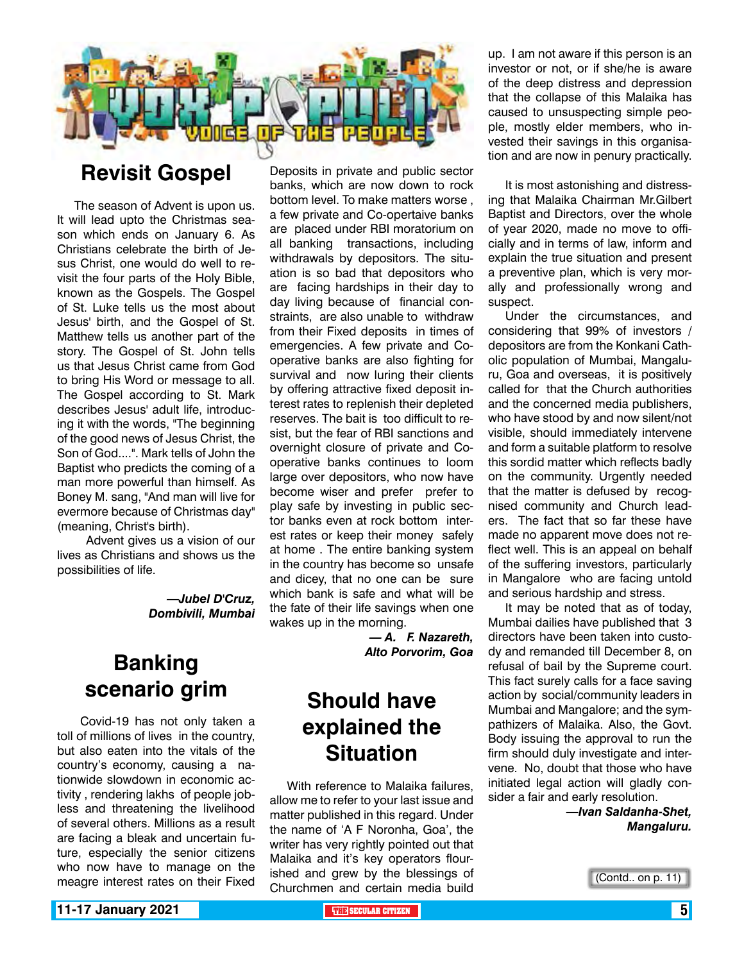

## **Revisit Gospel**

The season of Advent is upon us. It will lead upto the Christmas season which ends on January 6. As Christians celebrate the birth of Jesus Christ, one would do well to revisit the four parts of the Holy Bible, known as the Gospels. The Gospel of St. Luke tells us the most about Jesus' birth, and the Gospel of St. Matthew tells us another part of the story. The Gospel of St. John tells us that Jesus Christ came from God to bring His Word or message to all. The Gospel according to St. Mark describes Jesus' adult life, introducing it with the words, "The beginning of the good news of Jesus Christ, the Son of God....". Mark tells of John the Baptist who predicts the coming of a man more powerful than himself. As Boney M. sang, "And man will live for evermore because of Christmas day" (meaning, Christ's birth).

 Advent gives us a vision of our lives as Christians and shows us the possibilities of life.

> *—Jubel D'Cruz, Dombivili, Mumbai*

## **Banking scenario grim**

 Covid-19 has not only taken a toll of millions of lives in the country, but also eaten into the vitals of the country's economy, causing a nationwide slowdown in economic activity , rendering lakhs of people jobless and threatening the livelihood of several others. Millions as a result are facing a bleak and uncertain future, especially the senior citizens who now have to manage on the meagre interest rates on their Fixed

Deposits in private and public sector banks, which are now down to rock bottom level. To make matters worse , a few private and Co-opertaive banks are placed under RBI moratorium on all banking transactions, including withdrawals by depositors. The situation is so bad that depositors who are facing hardships in their day to day living because of financial constraints, are also unable to withdraw from their Fixed deposits in times of emergencies. A few private and Cooperative banks are also fighting for survival and now luring their clients by offering attractive fixed deposit interest rates to replenish their depleted reserves. The bait is too difficult to resist, but the fear of RBI sanctions and overnight closure of private and Cooperative banks continues to loom large over depositors, who now have become wiser and prefer prefer to play safe by investing in public sector banks even at rock bottom interest rates or keep their money safely at home . The entire banking system in the country has become so unsafe and dicey, that no one can be sure which bank is safe and what will be the fate of their life savings when one wakes up in the morning.

*— A. F. Nazareth, Alto Porvorim, Goa* 

## **Should have explained the Situation**

With reference to Malaika failures, allow me to refer to your last issue and matter published in this regard. Under the name of 'A F Noronha, Goa', the writer has very rightly pointed out that Malaika and it's key operators flourished and grew by the blessings of Churchmen and certain media build

up. I am not aware if this person is an investor or not, or if she/he is aware of the deep distress and depression that the collapse of this Malaika has caused to unsuspecting simple people, mostly elder members, who invested their savings in this organisation and are now in penury practically.

It is most astonishing and distressing that Malaika Chairman Mr.Gilbert Baptist and Directors, over the whole of year 2020, made no move to officially and in terms of law, inform and explain the true situation and present a preventive plan, which is very morally and professionally wrong and suspect.

Under the circumstances, and considering that 99% of investors / depositors are from the Konkani Catholic population of Mumbai, Mangaluru, Goa and overseas, it is positively called for that the Church authorities and the concerned media publishers, who have stood by and now silent/not visible, should immediately intervene and form a suitable platform to resolve this sordid matter which reflects badly on the community. Urgently needed that the matter is defused by recognised community and Church leaders. The fact that so far these have made no apparent move does not reflect well. This is an appeal on behalf of the suffering investors, particularly in Mangalore who are facing untold and serious hardship and stress.

It may be noted that as of today, Mumbai dailies have published that 3 directors have been taken into custody and remanded till December 8, on refusal of bail by the Supreme court. This fact surely calls for a face saving action by social/community leaders in Mumbai and Mangalore; and the sympathizers of Malaika. Also, the Govt. Body issuing the approval to run the firm should duly investigate and intervene. No, doubt that those who have initiated legal action will gladly consider a fair and early resolution.

> *—Ivan Saldanha-Shet, Mangaluru.*

**11-17 January 2021 THE THE THE THE SECULAR CITIZEN THE THE SECULAR CITIZEN** 

<sup>(</sup>Contd.. on p. 11)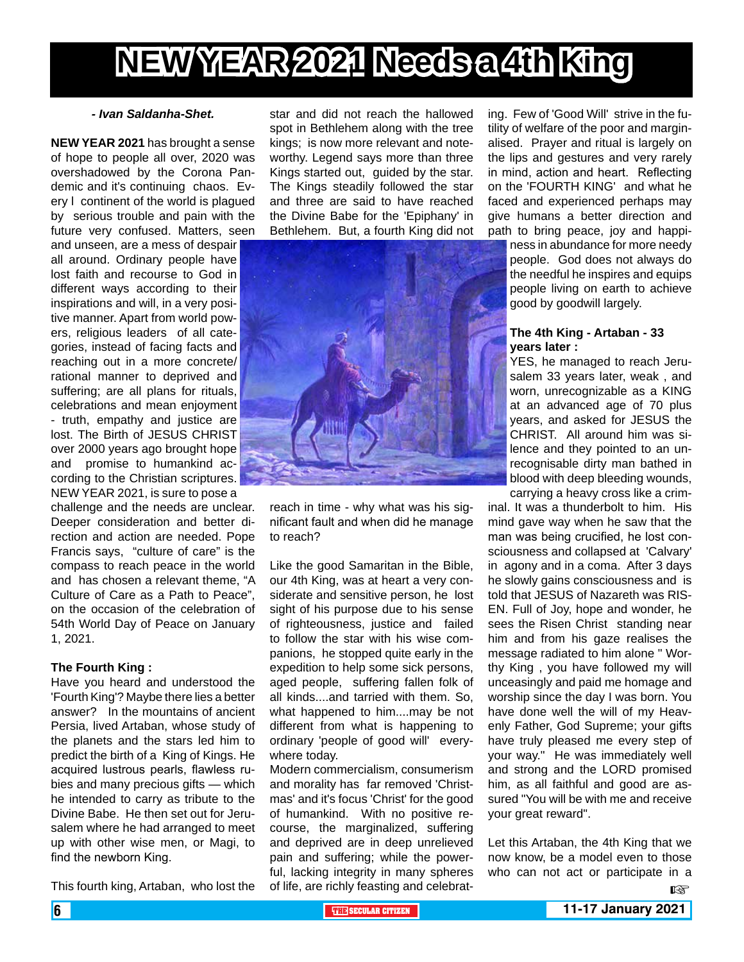# **NEW YEAR 2021 Needs a 4th King**

#### *- Ivan Saldanha-Shet.*

**NEW YEAR 2021** has brought a sense of hope to people all over, 2020 was overshadowed by the Corona Pandemic and it's continuing chaos. Every l continent of the world is plagued by serious trouble and pain with the future very confused. Matters, seen

and unseen, are a mess of despair all around. Ordinary people have lost faith and recourse to God in different ways according to their inspirations and will, in a very positive manner. Apart from world powers, religious leaders of all categories, instead of facing facts and reaching out in a more concrete/ rational manner to deprived and suffering; are all plans for rituals, celebrations and mean enjoyment - truth, empathy and justice are lost. The Birth of JESUS CHRIST over 2000 years ago brought hope and promise to humankind according to the Christian scriptures. NEW YEAR 2021, is sure to pose a

challenge and the needs are unclear. Deeper consideration and better direction and action are needed. Pope Francis says, "culture of care" is the compass to reach peace in the world and has chosen a relevant theme, "A Culture of Care as a Path to Peace", on the occasion of the celebration of 54th World Day of Peace on January 1, 2021.

#### **The Fourth King :**

Have you heard and understood the 'Fourth King'? Maybe there lies a better answer? In the mountains of ancient Persia, lived Artaban, whose study of the planets and the stars led him to predict the birth of a King of Kings. He acquired lustrous pearls, flawless rubies and many precious gifts — which he intended to carry as tribute to the Divine Babe. He then set out for Jerusalem where he had arranged to meet up with other wise men, or Magi, to find the newborn King.

This fourth king, Artaban, who lost the

star and did not reach the hallowed spot in Bethlehem along with the tree kings; is now more relevant and noteworthy. Legend says more than three Kings started out, guided by the star. The Kings steadily followed the star and three are said to have reached the Divine Babe for the 'Epiphany' in Bethlehem. But, a fourth King did not



reach in time - why what was his significant fault and when did he manage to reach?

Like the good Samaritan in the Bible, our 4th King, was at heart a very considerate and sensitive person, he lost sight of his purpose due to his sense of righteousness, justice and failed to follow the star with his wise companions, he stopped quite early in the expedition to help some sick persons, aged people, suffering fallen folk of all kinds....and tarried with them. So, what happened to him....may be not different from what is happening to ordinary 'people of good will' everywhere today.

Modern commercialism, consumerism and morality has far removed 'Christmas' and it's focus 'Christ' for the good of humankind. With no positive recourse, the marginalized, suffering and deprived are in deep unrelieved pain and suffering; while the powerful, lacking integrity in many spheres of life, are richly feasting and celebrating. Few of 'Good Will' strive in the futility of welfare of the poor and marginalised. Prayer and ritual is largely on the lips and gestures and very rarely in mind, action and heart. Reflecting on the 'FOURTH KING' and what he faced and experienced perhaps may give humans a better direction and path to bring peace, joy and happi-

ness in abundance for more needy people. God does not always do the needful he inspires and equips people living on earth to achieve good by goodwill largely.

#### **The 4th King - Artaban - 33 years later :**

YES, he managed to reach Jerusalem 33 years later, weak , and worn, unrecognizable as a KING at an advanced age of 70 plus years, and asked for JESUS the CHRIST. All around him was silence and they pointed to an unrecognisable dirty man bathed in blood with deep bleeding wounds, carrying a heavy cross like a crim-

inal. It was a thunderbolt to him. His mind gave way when he saw that the man was being crucified, he lost consciousness and collapsed at 'Calvary' in agony and in a coma. After 3 days he slowly gains consciousness and is told that JESUS of Nazareth was RIS-EN. Full of Joy, hope and wonder, he sees the Risen Christ standing near him and from his gaze realises the message radiated to him alone " Worthy King , you have followed my will unceasingly and paid me homage and worship since the day I was born. You have done well the will of my Heavenly Father, God Supreme; your gifts have truly pleased me every step of your way." He was immediately well and strong and the LORD promised him, as all faithful and good are assured "You will be with me and receive your great reward".

Let this Artaban, the 4th King that we now know, be a model even to those who can not act or participate in a

 $R^*$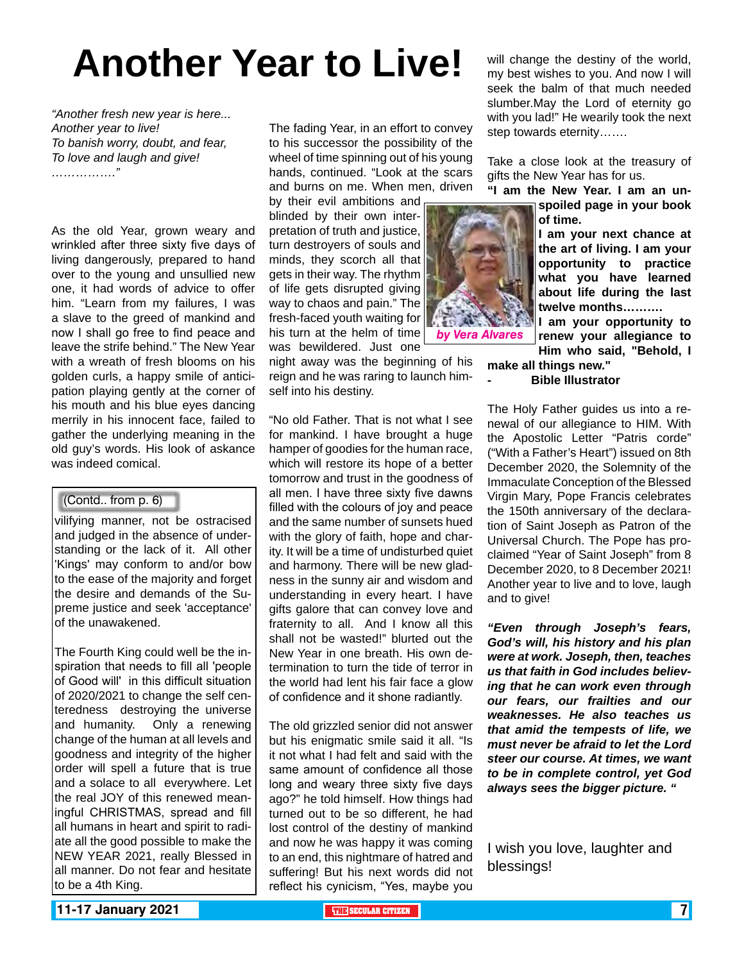# **Another Year to Live!**

*"Another fresh new year is here... Another year to live! To banish worry, doubt, and fear, To love and laugh and give! ……………."*

As the old Year, grown weary and wrinkled after three sixty five days of living dangerously, prepared to hand over to the young and unsullied new one, it had words of advice to offer him. "Learn from my failures, I was a slave to the greed of mankind and now I shall go free to find peace and leave the strife behind." The New Year with a wreath of fresh blooms on his golden curls, a happy smile of anticipation playing gently at the corner of his mouth and his blue eyes dancing merrily in his innocent face, failed to gather the underlying meaning in the old guy's words. His look of askance was indeed comical.

#### (Contd.. from p. 6)

vilifying manner, not be ostracised and judged in the absence of understanding or the lack of it. All other 'Kings' may conform to and/or bow to the ease of the majority and forget the desire and demands of the Supreme justice and seek 'acceptance' of the unawakened.

The Fourth King could well be the inspiration that needs to fill all 'people of Good will' in this difficult situation of 2020/2021 to change the self centeredness destroying the universe and humanity. Only a renewing change of the human at all levels and goodness and integrity of the higher order will spell a future that is true and a solace to all everywhere. Let the real JOY of this renewed meaningful CHRISTMAS, spread and fill all humans in heart and spirit to radiate all the good possible to make the NEW YEAR 2021, really Blessed in all manner. Do not fear and hesitate to be a 4th King.

The fading Year, in an effort to convey to his successor the possibility of the wheel of time spinning out of his young hands, continued. "Look at the scars and burns on me. When men, driven

by their evil ambitions and blinded by their own interpretation of truth and justice, turn destroyers of souls and minds, they scorch all that gets in their way. The rhythm of life gets disrupted giving way to chaos and pain." The fresh-faced youth waiting for his turn at the helm of time was bewildered. Just one

night away was the beginning of his reign and he was raring to launch himself into his destiny.

"No old Father. That is not what I see for mankind. I have brought a huge hamper of goodies for the human race, which will restore its hope of a better tomorrow and trust in the goodness of all men. I have three sixty five dawns filled with the colours of joy and peace and the same number of sunsets hued with the glory of faith, hope and charity. It will be a time of undisturbed quiet and harmony. There will be new gladness in the sunny air and wisdom and understanding in every heart. I have gifts galore that can convey love and fraternity to all. And I know all this shall not be wasted!" blurted out the New Year in one breath. His own determination to turn the tide of terror in the world had lent his fair face a glow of confidence and it shone radiantly.

The old grizzled senior did not answer but his enigmatic smile said it all. "Is it not what I had felt and said with the same amount of confidence all those long and weary three sixty five days ago?" he told himself. How things had turned out to be so different, he had lost control of the destiny of mankind and now he was happy it was coming to an end, this nightmare of hatred and suffering! But his next words did not reflect his cynicism, "Yes, maybe you

will change the destiny of the world, my best wishes to you. And now I will seek the balm of that much needed slumber.May the Lord of eternity go with you lad!" He wearily took the next step towards eternity…….

Take a close look at the treasury of gifts the New Year has for us.

**"I am the New Year. I am an unspoiled page in your book of time.**

> **I am your next chance at the art of living. I am your opportunity to practice what you have learned about life during the last twelve months……….**

> **I am your opportunity to renew your allegiance to Him who said, "Behold, I**

**make all things new." - Bible Illustrator**

The Holy Father guides us into a renewal of our allegiance to HIM. With the Apostolic Letter "Patris corde" ("With a Father's Heart") issued on 8th December 2020, the Solemnity of the Immaculate Conception of the Blessed Virgin Mary, Pope Francis celebrates the 150th anniversary of the declaration of Saint Joseph as Patron of the Universal Church. The Pope has proclaimed "Year of Saint Joseph" from 8 December 2020, to 8 December 2021! Another year to live and to love, laugh and to give!

*"Even through Joseph's fears, God's will, his history and his plan were at work. Joseph, then, teaches us that faith in God includes believing that he can work even through our fears, our frailties and our weaknesses. He also teaches us that amid the tempests of life, we must never be afraid to let the Lord steer our course. At times, we want to be in complete control, yet God always sees the bigger picture. "*

I wish you love, laughter and blessings!

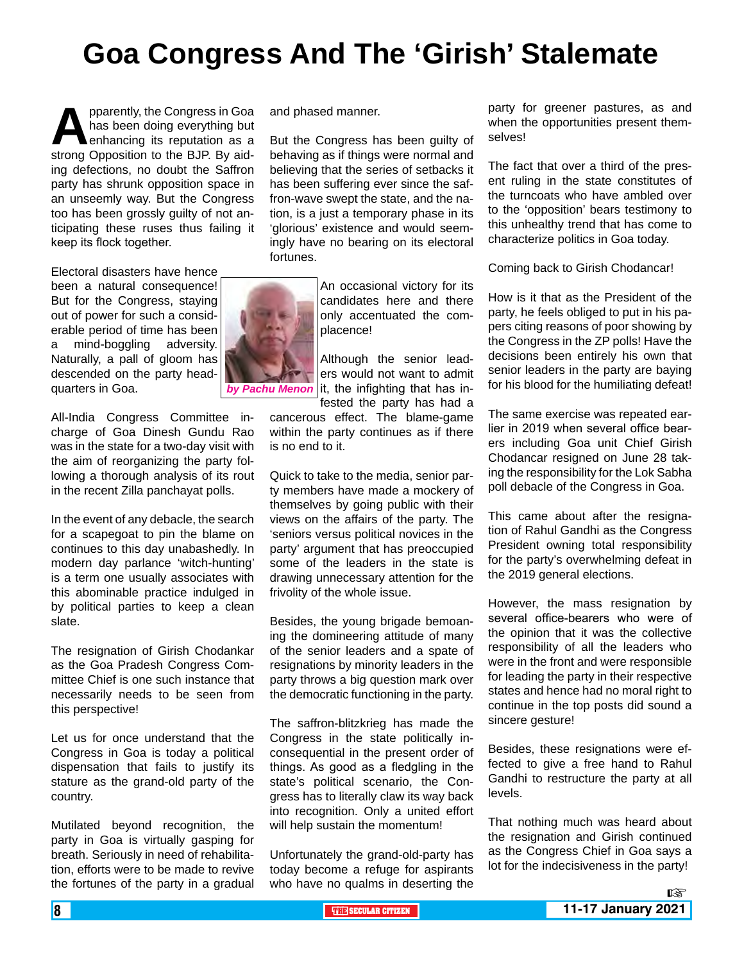# **Goa Congress And The 'Girish' Stalemate**

**A** pparently, the Congress in Goa has been doing everything but enhancing its reputation as a strong Opposition to the BJP. By aidhas been doing everything but enhancing its reputation as a ing defections, no doubt the Saffron party has shrunk opposition space in an unseemly way. But the Congress too has been grossly guilty of not anticipating these ruses thus failing it keep its flock together.

Electoral disasters have hence been a natural consequence! But for the Congress, staying out of power for such a considerable period of time has been a mind-boggling adversity. Naturally, a pall of gloom has descended on the party headquarters in Goa.

All-India Congress Committee incharge of Goa Dinesh Gundu Rao was in the state for a two-day visit with the aim of reorganizing the party following a thorough analysis of its rout in the recent Zilla panchayat polls.

In the event of any debacle, the search for a scapegoat to pin the blame on continues to this day unabashedly. In modern day parlance 'witch-hunting' is a term one usually associates with this abominable practice indulged in by political parties to keep a clean slate.

The resignation of Girish Chodankar as the Goa Pradesh Congress Committee Chief is one such instance that necessarily needs to be seen from this perspective!

Let us for once understand that the Congress in Goa is today a political dispensation that fails to justify its stature as the grand-old party of the country.

Mutilated beyond recognition, the party in Goa is virtually gasping for breath. Seriously in need of rehabilitation, efforts were to be made to revive the fortunes of the party in a gradual and phased manner.

But the Congress has been guilty of behaving as if things were normal and believing that the series of setbacks it has been suffering ever since the saffron-wave swept the state, and the nation, is a just a temporary phase in its 'glorious' existence and would seemingly have no bearing on its electoral fortunes.

An occasional victory for its candidates here and there only accentuated the complacence!

Although the senior leaders would not want to admit *by Pachu Menon* it, the infighting that has infested the party has had a

> cancerous effect. The blame-game within the party continues as if there is no end to it.

> Quick to take to the media, senior party members have made a mockery of themselves by going public with their views on the affairs of the party. The 'seniors versus political novices in the party' argument that has preoccupied some of the leaders in the state is drawing unnecessary attention for the frivolity of the whole issue.

> Besides, the young brigade bemoaning the domineering attitude of many of the senior leaders and a spate of resignations by minority leaders in the party throws a big question mark over the democratic functioning in the party.

> The saffron-blitzkrieg has made the Congress in the state politically inconsequential in the present order of things. As good as a fledgling in the state's political scenario, the Congress has to literally claw its way back into recognition. Only a united effort will help sustain the momentum!

> Unfortunately the grand-old-party has today become a refuge for aspirants who have no qualms in deserting the

party for greener pastures, as and when the opportunities present themselves!

The fact that over a third of the present ruling in the state constitutes of the turncoats who have ambled over to the 'opposition' bears testimony to this unhealthy trend that has come to characterize politics in Goa today.

Coming back to Girish Chodancar!

How is it that as the President of the party, he feels obliged to put in his papers citing reasons of poor showing by the Congress in the ZP polls! Have the decisions been entirely his own that senior leaders in the party are baying for his blood for the humiliating defeat!

The same exercise was repeated earlier in 2019 when several office bearers including Goa unit Chief Girish Chodancar resigned on June 28 taking the responsibility for the Lok Sabha poll debacle of the Congress in Goa.

This came about after the resignation of Rahul Gandhi as the Congress President owning total responsibility for the party's overwhelming defeat in the 2019 general elections.

However, the mass resignation by several office-bearers who were of the opinion that it was the collective responsibility of all the leaders who were in the front and were responsible for leading the party in their respective states and hence had no moral right to continue in the top posts did sound a sincere gesture!

Besides, these resignations were effected to give a free hand to Rahul Gandhi to restructure the party at all levels.

That nothing much was heard about the resignation and Girish continued as the Congress Chief in Goa says a lot for the indecisiveness in the party!

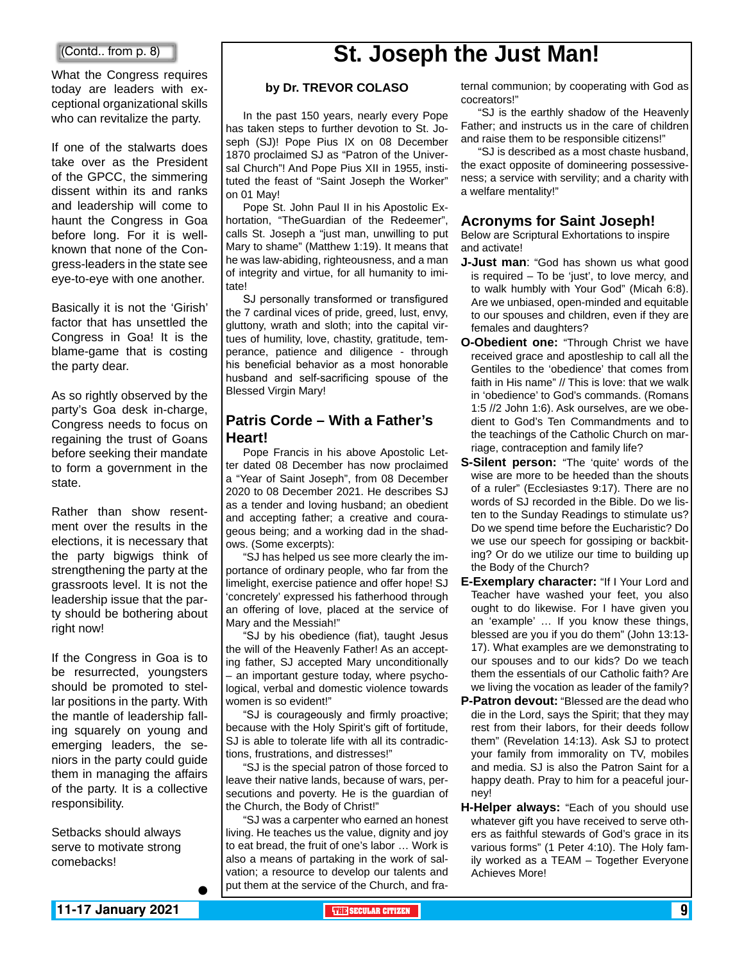#### (Contd.. from p. 8)

What the Congress requires today are leaders with exceptional organizational skills who can revitalize the party.

If one of the stalwarts does take over as the President of the GPCC, the simmering dissent within its and ranks and leadership will come to haunt the Congress in Goa before long. For it is wellknown that none of the Congress-leaders in the state see eye-to-eye with one another.

Basically it is not the 'Girish' factor that has unsettled the Congress in Goa! It is the blame-game that is costing the party dear.

As so rightly observed by the party's Goa desk in-charge, Congress needs to focus on regaining the trust of Goans before seeking their mandate to form a government in the state.

Rather than show resentment over the results in the elections, it is necessary that the party bigwigs think of strengthening the party at the grassroots level. It is not the leadership issue that the party should be bothering about right now!

If the Congress in Goa is to be resurrected, youngsters should be promoted to stellar positions in the party. With the mantle of leadership falling squarely on young and emerging leaders, the seniors in the party could guide them in managing the affairs of the party. It is a collective responsibility.

Setbacks should always serve to motivate strong comebacks!

## **St. Joseph the Just Man!**

#### **by Dr. TREVOR COLASO**

In the past 150 years, nearly every Pope has taken steps to further devotion to St. Joseph (SJ)! Pope Pius IX on 08 December 1870 proclaimed SJ as "Patron of the Universal Church"! And Pope Pius XII in 1955, instituted the feast of "Saint Joseph the Worker" on 01 May!

Pope St. John Paul II in his Apostolic Exhortation, "TheGuardian of the Redeemer", calls St. Joseph a "just man, unwilling to put Mary to shame" (Matthew 1:19). It means that he was law-abiding, righteousness, and a man of integrity and virtue, for all humanity to imitate!

SJ personally transformed or transfigured the 7 cardinal vices of pride, greed, lust, envy, gluttony, wrath and sloth; into the capital virtues of humility, love, chastity, gratitude, temperance, patience and diligence - through his beneficial behavior as a most honorable husband and self-sacrificing spouse of the Blessed Virgin Mary!

#### **Patris Corde – With a Father's Heart!**

Pope Francis in his above Apostolic Letter dated 08 December has now proclaimed a "Year of Saint Joseph", from 08 December 2020 to 08 December 2021. He describes SJ as a tender and loving husband; an obedient and accepting father; a creative and courageous being; and a working dad in the shadows. (Some excerpts):

"SJ has helped us see more clearly the importance of ordinary people, who far from the limelight, exercise patience and offer hope! SJ 'concretely' expressed his fatherhood through an offering of love, placed at the service of Mary and the Messiah!"

"SJ by his obedience (fiat), taught Jesus the will of the Heavenly Father! As an accepting father, SJ accepted Mary unconditionally – an important gesture today, where psychological, verbal and domestic violence towards women is so evident!"

"SJ is courageously and firmly proactive; because with the Holy Spirit's gift of fortitude, SJ is able to tolerate life with all its contradictions, frustrations, and distresses!"

"SJ is the special patron of those forced to leave their native lands, because of wars, persecutions and poverty. He is the guardian of the Church, the Body of Christ!"

"SJ was a carpenter who earned an honest living. He teaches us the value, dignity and joy to eat bread, the fruit of one's labor … Work is also a means of partaking in the work of salvation; a resource to develop our talents and put them at the service of the Church, and fraternal communion; by cooperating with God as cocreators!"

"SJ is the earthly shadow of the Heavenly Father; and instructs us in the care of children and raise them to be responsible citizens!"

"SJ is described as a most chaste husband, the exact opposite of domineering possessiveness; a service with servility; and a charity with a welfare mentality!"

#### **Acronyms for Saint Joseph!**

Below are Scriptural Exhortations to inspire and activate!

- **J-Just man**: "God has shown us what good is required – To be 'just', to love mercy, and to walk humbly with Your God" (Micah 6:8). Are we unbiased, open-minded and equitable to our spouses and children, even if they are females and daughters?
- **O-Obedient one:** "Through Christ we have received grace and apostleship to call all the Gentiles to the 'obedience' that comes from faith in His name" // This is love: that we walk in 'obedience' to God's commands. (Romans 1:5 //2 John 1:6). Ask ourselves, are we obedient to God's Ten Commandments and to the teachings of the Catholic Church on marriage, contraception and family life?
- **S-Silent person:** "The 'quite' words of the wise are more to be heeded than the shouts of a ruler" (Ecclesiastes 9:17). There are no words of SJ recorded in the Bible. Do we listen to the Sunday Readings to stimulate us? Do we spend time before the Eucharistic? Do we use our speech for gossiping or backbiting? Or do we utilize our time to building up the Body of the Church?
- **E-Exemplary character:** "If I Your Lord and Teacher have washed your feet, you also ought to do likewise. For I have given you an 'example' … If you know these things, blessed are you if you do them" (John 13:13- 17). What examples are we demonstrating to our spouses and to our kids? Do we teach them the essentials of our Catholic faith? Are we living the vocation as leader of the family?
- **P-Patron devout:** "Blessed are the dead who die in the Lord, says the Spirit; that they may rest from their labors, for their deeds follow them" (Revelation 14:13). Ask SJ to protect your family from immorality on TV, mobiles and media. SJ is also the Patron Saint for a happy death. Pray to him for a peaceful journey!
- **H-Helper always:** "Each of you should use whatever gift you have received to serve others as faithful stewards of God's grace in its various forms" (1 Peter 4:10). The Holy family worked as a TEAM – Together Everyone Achieves More!

 $\bullet$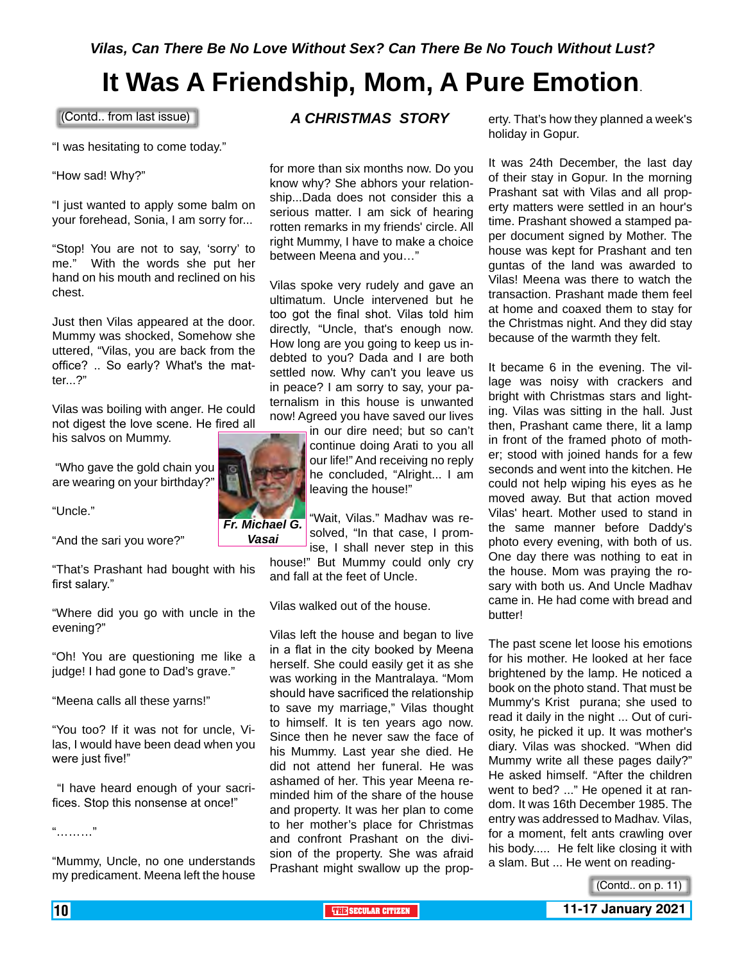# **It Was A Friendship, Mom, A Pure Emotion**.

(Contd.. from last issue)

"I was hesitating to come today."

"How sad! Why?"

"I just wanted to apply some balm on your forehead, Sonia, I am sorry for...

"Stop! You are not to say, 'sorry' to me." With the words she put her hand on his mouth and reclined on his chest.

Just then Vilas appeared at the door. Mummy was shocked, Somehow she uttered, "Vilas, you are back from the office? .. So early? What's the matter...?"

Vilas was boiling with anger. He could not digest the love scene. He fired all his salvos on Mummy.

 "Who gave the gold chain you are wearing on your birthday?"

"Uncle."

"And the sari you wore?"

"That's Prashant had bought with his first salary."

"Where did you go with uncle in the evening?"

"Oh! You are questioning me like a judge! I had gone to Dad's grave."

"Meena calls all these yarns!"

"You too? If it was not for uncle, Vilas, I would have been dead when you were just five!"

 "I have heard enough of your sacrifices. Stop this nonsense at once!"

"………"

"Mummy, Uncle, no one understands my predicament. Meena left the house

#### *A CHRISTMAS STORY*

for more than six months now. Do you know why? She abhors your relationship...Dada does not consider this a serious matter. I am sick of hearing rotten remarks in my friends' circle. All right Mummy, I have to make a choice between Meena and you…"

Vilas spoke very rudely and gave an ultimatum. Uncle intervened but he too got the final shot. Vilas told him directly, "Uncle, that's enough now. How long are you going to keep us indebted to you? Dada and I are both settled now. Why can't you leave us in peace? I am sorry to say, your paternalism in this house is unwanted now! Agreed you have saved our lives

> in our dire need; but so can't continue doing Arati to you all our life!" And receiving no reply he concluded, "Alright... I am leaving the house!"

"Wait, Vilas." Madhav was resolved, "In that case, I promise, I shall never step in this

house!" But Mummy could only cry and fall at the feet of Uncle.

Vilas walked out of the house.

Vilas left the house and began to live in a flat in the city booked by Meena herself. She could easily get it as she was working in the Mantralaya. "Mom should have sacrificed the relationship to save my marriage," Vilas thought to himself. It is ten years ago now. Since then he never saw the face of his Mummy. Last year she died. He did not attend her funeral. He was ashamed of her. This year Meena reminded him of the share of the house and property. It was her plan to come to her mother's place for Christmas and confront Prashant on the division of the property. She was afraid Prashant might swallow up the property. That's how they planned a week's holiday in Gopur.

It was 24th December, the last day of their stay in Gopur. In the morning Prashant sat with Vilas and all property matters were settled in an hour's time. Prashant showed a stamped paper document signed by Mother. The house was kept for Prashant and ten guntas of the land was awarded to Vilas! Meena was there to watch the transaction. Prashant made them feel at home and coaxed them to stay for the Christmas night. And they did stay because of the warmth they felt.

It became 6 in the evening. The village was noisy with crackers and bright with Christmas stars and lighting. Vilas was sitting in the hall. Just then, Prashant came there, lit a lamp in front of the framed photo of mother; stood with joined hands for a few seconds and went into the kitchen. He could not help wiping his eyes as he moved away. But that action moved Vilas' heart. Mother used to stand in the same manner before Daddy's photo every evening, with both of us. One day there was nothing to eat in the house. Mom was praying the rosary with both us. And Uncle Madhav came in. He had come with bread and butter!

The past scene let loose his emotions for his mother. He looked at her face brightened by the lamp. He noticed a book on the photo stand. That must be Mummy's Krist purana; she used to read it daily in the night ... Out of curiosity, he picked it up. It was mother's diary. Vilas was shocked. "When did Mummy write all these pages daily?" He asked himself. "After the children went to bed? ..." He opened it at random. It was 16th December 1985. The entry was addressed to Madhav. Vilas, for a moment, felt ants crawling over his body..... He felt like closing it with a slam. But ... He went on reading-



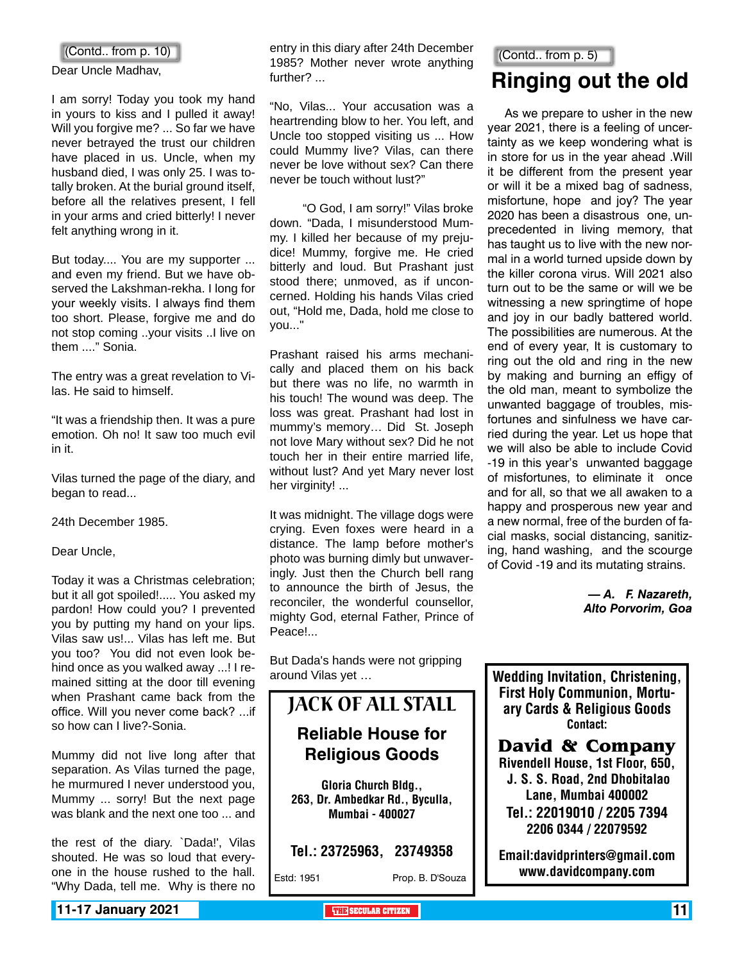#### (Contd.. from p. 10)

Dear Uncle Madhav,

I am sorry! Today you took my hand in yours to kiss and I pulled it away! Will you forgive me? ... So far we have never betrayed the trust our children have placed in us. Uncle, when my husband died, I was only 25. I was totally broken. At the burial ground itself, before all the relatives present, I fell in your arms and cried bitterly! I never felt anything wrong in it.

But today.... You are my supporter ... and even my friend. But we have observed the Lakshman-rekha. I long for your weekly visits. I always find them too short. Please, forgive me and do not stop coming ..your visits ..I live on them ...." Sonia.

The entry was a great revelation to Vilas. He said to himself.

"It was a friendship then. It was a pure emotion. Oh no! It saw too much evil in it.

Vilas turned the page of the diary, and began to read...

24th December 1985.

Dear Uncle,

Today it was a Christmas celebration; but it all got spoiled!..... You asked my pardon! How could you? I prevented you by putting my hand on your lips. Vilas saw us!... Vilas has left me. But you too? You did not even look behind once as you walked away ...! I remained sitting at the door till evening when Prashant came back from the office. Will you never come back? ...if so how can I live?-Sonia.

Mummy did not live long after that separation. As Vilas turned the page, he murmured I never understood you, Mummy ... sorry! But the next page was blank and the next one too ... and

the rest of the diary. `Dada!', Vilas shouted. He was so loud that everyone in the house rushed to the hall. "Why Dada, tell me. Why is there no entry in this diary after 24th December 1985? Mother never wrote anything further? ...

"No, Vilas... Your accusation was a heartrending blow to her. You left, and Uncle too stopped visiting us ... How could Mummy live? Vilas, can there never be love without sex? Can there never be touch without lust?"

 "O God, I am sorry!" Vilas broke down. "Dada, I misunderstood Mummy. I killed her because of my prejudice! Mummy, forgive me. He cried bitterly and loud. But Prashant just stood there; unmoved, as if unconcerned. Holding his hands Vilas cried out, "Hold me, Dada, hold me close to you..."

Prashant raised his arms mechanically and placed them on his back but there was no life, no warmth in his touch! The wound was deep. The loss was great. Prashant had lost in mummy's memory… Did St. Joseph not love Mary without sex? Did he not touch her in their entire married life, without lust? And yet Mary never lost her virginity! ...

It was midnight. The village dogs were crying. Even foxes were heard in a distance. The lamp before mother's photo was burning dimly but unwaveringly. Just then the Church bell rang to announce the birth of Jesus, the reconciler, the wonderful counsellor, mighty God, eternal Father, Prince of Peace!...

But Dada's hands were not gripping around Vilas yet …

## Jack of All Stall

### **Reliable House for Religious Goods**

Gloria Church Bldg., 263, Dr. Ambedkar Rd., Byculla, Mumbai - 400027

Tel.: 23725963, 23749358

Estd: 1951 Prop. B. D'Souza

## **Ringing out the old** (Contd.. from p. 5)

As we prepare to usher in the new year 2021, there is a feeling of uncertainty as we keep wondering what is in store for us in the year ahead .Will it be different from the present year or will it be a mixed bag of sadness, misfortune, hope and joy? The year 2020 has been a disastrous one, unprecedented in living memory, that has taught us to live with the new normal in a world turned upside down by the killer corona virus. Will 2021 also turn out to be the same or will we be witnessing a new springtime of hope and joy in our badly battered world. The possibilities are numerous. At the end of every year, It is customary to ring out the old and ring in the new by making and burning an effigy of the old man, meant to symbolize the unwanted baggage of troubles, misfortunes and sinfulness we have carried during the year. Let us hope that we will also be able to include Covid -19 in this year's unwanted baggage of misfortunes, to eliminate it once and for all, so that we all awaken to a happy and prosperous new year and a new normal, free of the burden of facial masks, social distancing, sanitizing, hand washing, and the scourge of Covid -19 and its mutating strains.

> *— A. F. Nazareth, Alto Porvorim, Goa*

Wedding Invitation, Christening, First Holy Communion, Mortuary Cards & Religious Goods Contact:

**David & Company** Rivendell House, 1st Floor, 650, J. S. S. Road, 2nd Dhobitalao Lane, Mumbai 400002 Tel.: 22019010 / 2205 7394 2206 0344 / 22079592

Email:davidprinters@gmail.com www.davidcompany.com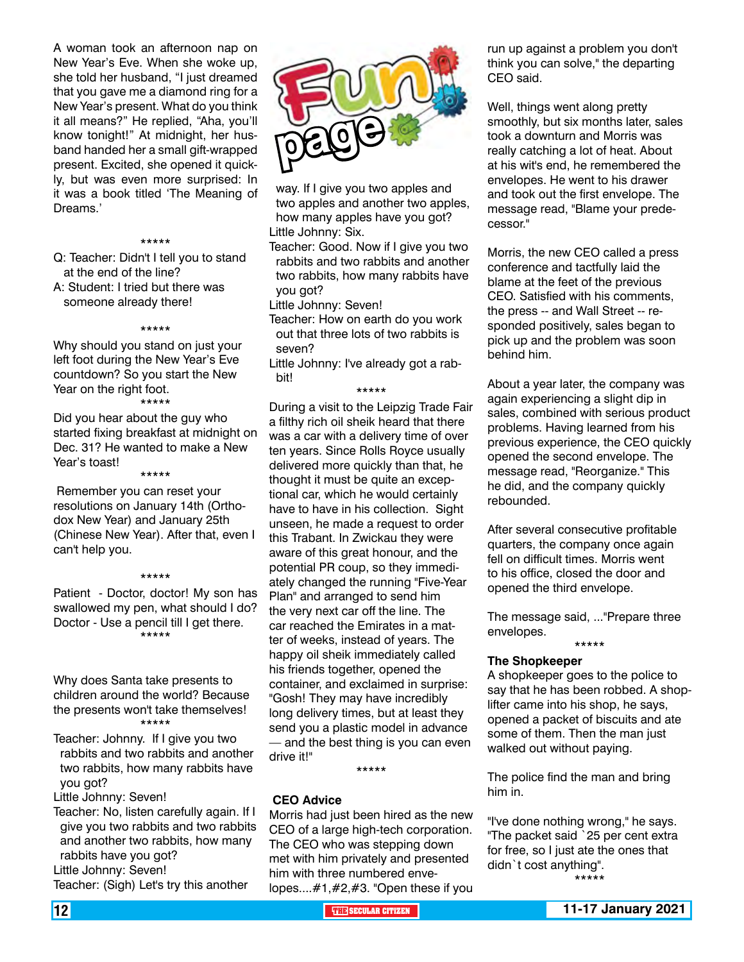A woman took an afternoon nap on New Year's Eve. When she woke up, she told her husband, "I just dreamed that you gave me a diamond ring for a New Year's present. What do you think it all means?" He replied, "Aha, you'll know tonight!" At midnight, her husband handed her a small gift-wrapped present. Excited, she opened it quickly, but was even more surprised: In it was a book titled 'The Meaning of Dreams.'

#### \*\*\*\*\*

Q: Teacher: Didn't I tell you to stand at the end of the line?

A: Student: I tried but there was someone already there!

#### \*\*\*\*\*

Why should you stand on just your left foot during the New Year's Eve countdown? So you start the New Year on the right foot.

\*\*\*\*\*

Did you hear about the guy who started fixing breakfast at midnight on Dec. 31? He wanted to make a New Year's toast!

\*\*\*\*\* Remember you can reset your resolutions on January 14th (Orthodox New Year) and January 25th (Chinese New Year). After that, even I can't help you.

#### \*\*\*\*\*

Patient - Doctor, doctor! My son has swallowed my pen, what should I do? Doctor - Use a pencil till I get there. \*\*\*\*\*

Why does Santa take presents to children around the world? Because the presents won't take themselves! \*\*\*\*\*

Teacher: Johnny. If I give you two rabbits and two rabbits and another two rabbits, how many rabbits have you got?

Little Johnny: Seven!

Teacher: No, listen carefully again. If I give you two rabbits and two rabbits and another two rabbits, how many rabbits have you got? Little Johnny: Seven!

Teacher: (Sigh) Let's try this another



way. If I give you two apples and two apples and another two apples, how many apples have you got? Little Johnny: Six.

Teacher: Good. Now if I give you two rabbits and two rabbits and another two rabbits, how many rabbits have you got?

Little Johnny: Seven!

Teacher: How on earth do you work out that three lots of two rabbits is seven?

Little Johnny: I've already got a rabbit!

\*\*\*\*\*

During a visit to the Leipzig Trade Fair a filthy rich oil sheik heard that there was a car with a delivery time of over ten years. Since Rolls Royce usually delivered more quickly than that, he thought it must be quite an exceptional car, which he would certainly have to have in his collection. Sight unseen, he made a request to order this Trabant. In Zwickau they were aware of this great honour, and the potential PR coup, so they immediately changed the running "Five-Year Plan" and arranged to send him the very next car off the line. The car reached the Emirates in a matter of weeks, instead of years. The happy oil sheik immediately called his friends together, opened the container, and exclaimed in surprise: "Gosh! They may have incredibly long delivery times, but at least they send you a plastic model in advance — and the best thing is you can even drive it!"

\*\*\*\*\*

#### **CEO Advice**

Morris had just been hired as the new CEO of a large high-tech corporation. The CEO who was stepping down met with him privately and presented him with three numbered envelopes....#1,#2,#3. "Open these if you run up against a problem you don't think you can solve," the departing CEO said.

Well, things went along pretty smoothly, but six months later, sales took a downturn and Morris was really catching a lot of heat. About at his wit's end, he remembered the envelopes. He went to his drawer and took out the first envelope. The message read, "Blame your predecessor."

Morris, the new CEO called a press conference and tactfully laid the blame at the feet of the previous CEO. Satisfied with his comments, the press -- and Wall Street -- responded positively, sales began to pick up and the problem was soon behind him.

About a year later, the company was again experiencing a slight dip in sales, combined with serious product problems. Having learned from his previous experience, the CEO quickly opened the second envelope. The message read, "Reorganize." This he did, and the company quickly rebounded.

After several consecutive profitable quarters, the company once again fell on difficult times. Morris went to his office, closed the door and opened the third envelope.

The message said, ..."Prepare three envelopes. \*\*\*\*\*

#### **The Shopkeeper**

A shopkeeper goes to the police to say that he has been robbed. A shoplifter came into his shop, he says, opened a packet of biscuits and ate some of them. Then the man just walked out without paying.

The police find the man and bring him in.

"I've done nothing wrong," he says. "The packet said `25 per cent extra for free, so I just ate the ones that didn`t cost anything". \*\*\*\*\*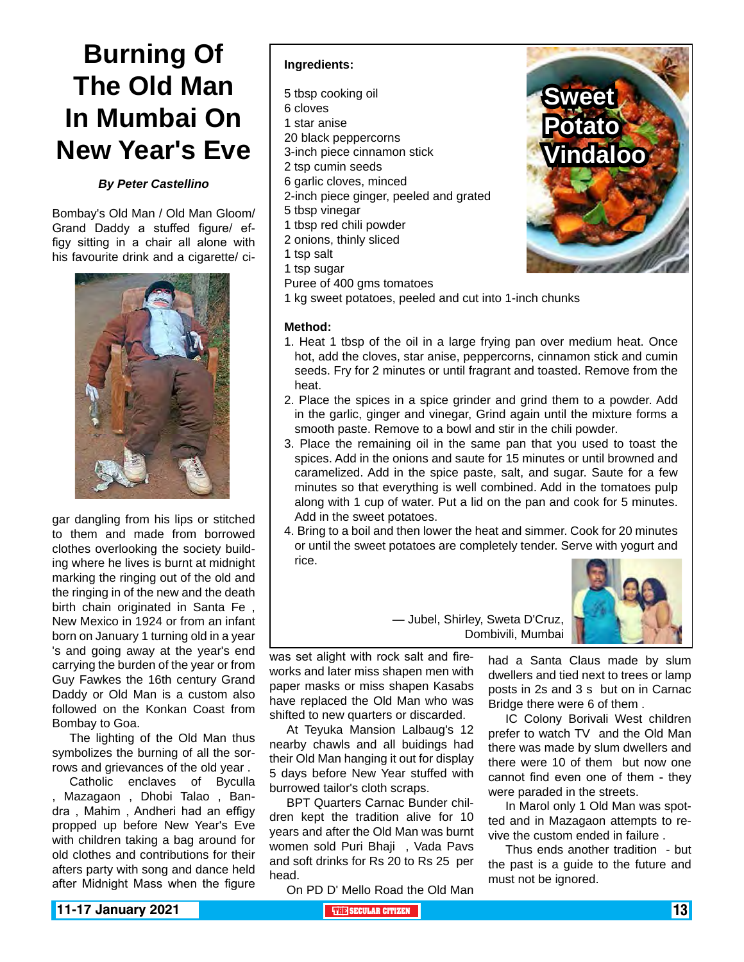# **Burning Of The Old Man In Mumbai On New Year's Eve**

#### *By Peter Castellino*

Bombay's Old Man / Old Man Gloom/ Grand Daddy a stuffed figure/ effigy sitting in a chair all alone with his favourite drink and a cigarette/ ci-



gar dangling from his lips or stitched to them and made from borrowed clothes overlooking the society building where he lives is burnt at midnight marking the ringing out of the old and the ringing in of the new and the death birth chain originated in Santa Fe , New Mexico in 1924 or from an infant born on January 1 turning old in a year 's and going away at the year's end carrying the burden of the year or from Guy Fawkes the 16th century Grand Daddy or Old Man is a custom also followed on the Konkan Coast from Bombay to Goa.

The lighting of the Old Man thus symbolizes the burning of all the sorrows and grievances of the old year .

Catholic enclaves of Byculla , Mazagaon , Dhobi Talao , Bandra , Mahim , Andheri had an effigy propped up before New Year's Eve with children taking a bag around for old clothes and contributions for their afters party with song and dance held after Midnight Mass when the figure

#### **Ingredients:**

- 5 tbsp cooking oil
- 6 cloves
- 1 star anise
- 20 black peppercorns
- 3-inch piece cinnamon stick
- 2 tsp cumin seeds
- 6 garlic cloves, minced
- 2-inch piece ginger, peeled and grated
- 5 tbsp vinegar
- 1 tbsp red chili powder
- 2 onions, thinly sliced
- 1 tsp salt
- 1 tsp sugar
- Puree of 400 gms tomatoes
- 1 kg sweet potatoes, peeled and cut into 1-inch chunks

#### **Method:**

- 1. Heat 1 tbsp of the oil in a large frying pan over medium heat. Once hot, add the cloves, star anise, peppercorns, cinnamon stick and cumin seeds. Fry for 2 minutes or until fragrant and toasted. Remove from the heat.
- 2. Place the spices in a spice grinder and grind them to a powder. Add in the garlic, ginger and vinegar, Grind again until the mixture forms a smooth paste. Remove to a bowl and stir in the chili powder.
- 3. Place the remaining oil in the same pan that you used to toast the spices. Add in the onions and saute for 15 minutes or until browned and caramelized. Add in the spice paste, salt, and sugar. Saute for a few minutes so that everything is well combined. Add in the tomatoes pulp along with 1 cup of water. Put a lid on the pan and cook for 5 minutes. Add in the sweet potatoes.
- 4. Bring to a boil and then lower the heat and simmer. Cook for 20 minutes or until the sweet potatoes are completely tender. Serve with yogurt and rice.



— Jubel, Shirley, Sweta D'Cruz, Dombivili, Mumbai

was set alight with rock salt and fireworks and later miss shapen men with paper masks or miss shapen Kasabs have replaced the Old Man who was shifted to new quarters or discarded.

At Teyuka Mansion Lalbaug's 12 nearby chawls and all buidings had their Old Man hanging it out for display 5 days before New Year stuffed with burrowed tailor's cloth scraps.

BPT Quarters Carnac Bunder children kept the tradition alive for 10 years and after the Old Man was burnt women sold Puri Bhaji , Vada Pavs and soft drinks for Rs 20 to Rs 25 per head.

On PD D' Mello Road the Old Man

had a Santa Claus made by slum dwellers and tied next to trees or lamp posts in 2s and 3 s but on in Carnac Bridge there were 6 of them .

IC Colony Borivali West children prefer to watch TV and the Old Man there was made by slum dwellers and there were 10 of them but now one cannot find even one of them - they were paraded in the streets.

In Marol only 1 Old Man was spotted and in Mazagaon attempts to revive the custom ended in failure .

Thus ends another tradition - but the past is a guide to the future and must not be ignored.

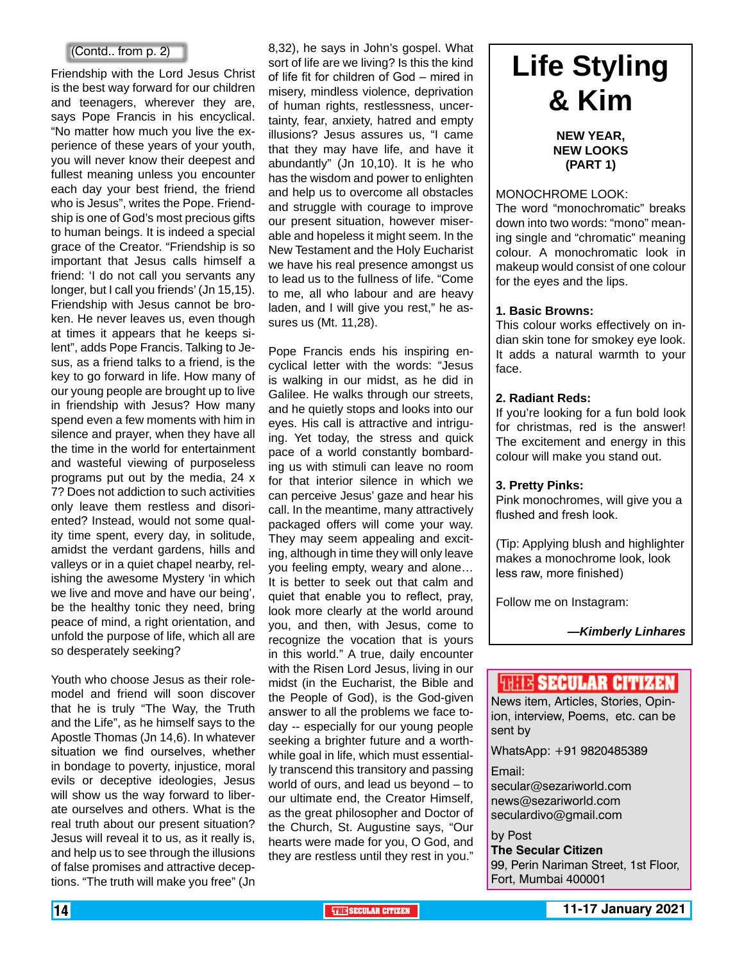Friendship with the Lord Jesus Christ is the best way forward for our children and teenagers, wherever they are, says Pope Francis in his encyclical. "No matter how much you live the experience of these years of your youth, you will never know their deepest and fullest meaning unless you encounter each day your best friend, the friend who is Jesus", writes the Pope. Friendship is one of God's most precious gifts to human beings. It is indeed a special grace of the Creator. "Friendship is so important that Jesus calls himself a friend: 'I do not call you servants any longer, but I call you friends' (Jn 15,15). Friendship with Jesus cannot be broken. He never leaves us, even though at times it appears that he keeps silent", adds Pope Francis. Talking to Jesus, as a friend talks to a friend, is the key to go forward in life. How many of our young people are brought up to live in friendship with Jesus? How many spend even a few moments with him in silence and prayer, when they have all the time in the world for entertainment and wasteful viewing of purposeless programs put out by the media, 24 x 7? Does not addiction to such activities only leave them restless and disoriented? Instead, would not some quality time spent, every day, in solitude, amidst the verdant gardens, hills and valleys or in a quiet chapel nearby, relishing the awesome Mystery 'in which we live and move and have our being', be the healthy tonic they need, bring peace of mind, a right orientation, and unfold the purpose of life, which all are so desperately seeking?

Youth who choose Jesus as their rolemodel and friend will soon discover that he is truly "The Way, the Truth and the Life", as he himself says to the Apostle Thomas (Jn 14,6). In whatever situation we find ourselves, whether in bondage to poverty, injustice, moral evils or deceptive ideologies, Jesus will show us the way forward to liberate ourselves and others. What is the real truth about our present situation? Jesus will reveal it to us, as it really is, and help us to see through the illusions of false promises and attractive deceptions. "The truth will make you free" (Jn

8,32), he says in John's gospel. What sort of life are we living? Is this the kind of life fit for children of God – mired in misery, mindless violence, deprivation of human rights, restlessness, uncertainty, fear, anxiety, hatred and empty illusions? Jesus assures us, "I came that they may have life, and have it abundantly" (Jn 10,10). It is he who has the wisdom and power to enlighten and help us to overcome all obstacles and struggle with courage to improve our present situation, however miserable and hopeless it might seem. In the New Testament and the Holy Eucharist we have his real presence amongst us to lead us to the fullness of life. "Come to me, all who labour and are heavy laden, and I will give you rest," he assures us (Mt. 11,28). (Contd.. from p. 2)<br>
sort of life are we living? Is this the kind<br>
endship with the Lord Jesus Christ of life fit for children of God – mired in

> Pope Francis ends his inspiring encyclical letter with the words: "Jesus is walking in our midst, as he did in Galilee. He walks through our streets, and he quietly stops and looks into our eyes. His call is attractive and intriguing. Yet today, the stress and quick pace of a world constantly bombarding us with stimuli can leave no room for that interior silence in which we can perceive Jesus' gaze and hear his call. In the meantime, many attractively packaged offers will come your way. They may seem appealing and exciting, although in time they will only leave you feeling empty, weary and alone… It is better to seek out that calm and quiet that enable you to reflect, pray, look more clearly at the world around you, and then, with Jesus, come to recognize the vocation that is yours in this world." A true, daily encounter with the Risen Lord Jesus, living in our midst (in the Eucharist, the Bible and the People of God), is the God-given answer to all the problems we face today -- especially for our young people seeking a brighter future and a worthwhile goal in life, which must essentially transcend this transitory and passing world of ours, and lead us beyond – to our ultimate end, the Creator Himself, as the great philosopher and Doctor of the Church, St. Augustine says, "Our hearts were made for you, O God, and they are restless until they rest in you."

# **& Kim**

#### **NEW YEAR, NEW LOOKS (PART 1)**

#### MONOCHROME LOOK:

The word "monochromatic" breaks down into two words: "mono" meaning single and "chromatic" meaning colour. A monochromatic look in makeup would consist of one colour for the eyes and the lips.

#### **1. Basic Browns:**

This colour works effectively on indian skin tone for smokey eye look. It adds a natural warmth to your face.

#### **2. Radiant Reds:**

If you're looking for a fun bold look for christmas, red is the answer! The excitement and energy in this colour will make you stand out.

#### **3. Pretty Pinks:**

Pink monochromes, will give you a flushed and fresh look.

(Tip: Applying blush and highlighter makes a monochrome look, look less raw, more finished)

Follow me on Instagram:

#### **THIS SECULAR CITIZEN**

News item, Articles, Stories, Opinion, interview, Poems, etc. can be sent by

WhatsApp: +91 9820485389

Email:

secular@sezariworld.com news@sezariworld.com seculardivo@gmail.com

#### by Post

**The Secular Citizen** 99, Perin Nariman Street, 1st Floor, Fort, Mumbai 400001

*<sup>—</sup>Kimberly Linhares*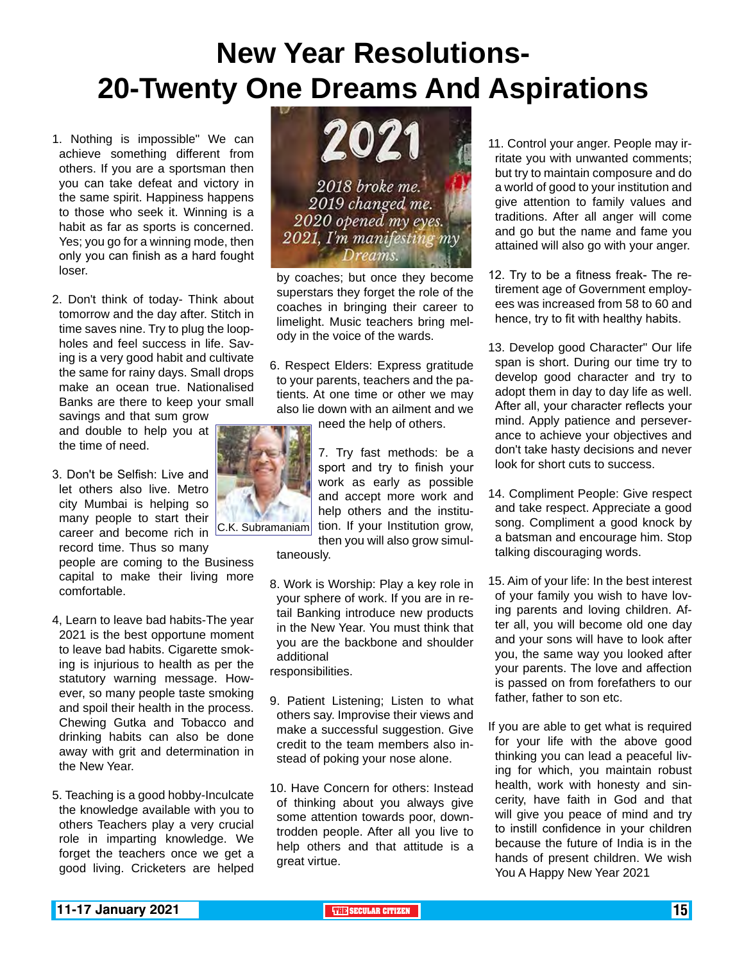# **New Year Resolutions-20-Twenty One Dreams And Aspirations**

- 1. Nothing is impossible" We can achieve something different from others. If you are a sportsman then you can take defeat and victory in the same spirit. Happiness happens to those who seek it. Winning is a habit as far as sports is concerned. Yes; you go for a winning mode, then only you can finish as a hard fought loser.
- 2. Don't think of today- Think about tomorrow and the day after. Stitch in time saves nine. Try to plug the loopholes and feel success in life. Saving is a very good habit and cultivate the same for rainy days. Small drops make an ocean true. Nationalised Banks are there to keep your small

savings and that sum grow and double to help you at the time of need.

3. Don't be Selfish: Live and let others also live. Metro city Mumbai is helping so many people to start their career and become rich in

record time. Thus so many people are coming to the Business capital to make their living more comfortable.

- 4, Learn to leave bad habits-The year 2021 is the best opportune moment to leave bad habits. Cigarette smoking is injurious to health as per the statutory warning message. However, so many people taste smoking and spoil their health in the process. Chewing Gutka and Tobacco and drinking habits can also be done away with grit and determination in the New Year.
- 5. Teaching is a good hobby-Inculcate the knowledge available with you to others Teachers play a very crucial role in imparting knowledge. We forget the teachers once we get a good living. Cricketers are helped



by coaches; but once they become superstars they forget the role of the coaches in bringing their career to limelight. Music teachers bring melody in the voice of the wards.

6. Respect Elders: Express gratitude to your parents, teachers and the patients. At one time or other we may also lie down with an ailment and we

need the help of others.

7. Try fast methods: be a sport and try to finish your work as early as possible and accept more work and help others and the institution. If your Institution grow, then you will also grow simul-

taneously.

- 8. Work is Worship: Play a key role in your sphere of work. If you are in retail Banking introduce new products in the New Year. You must think that you are the backbone and shoulder additional responsibilities.
- 9. Patient Listening; Listen to what others say. Improvise their views and make a successful suggestion. Give credit to the team members also instead of poking your nose alone.
- 10. Have Concern for others: Instead of thinking about you always give some attention towards poor, downtrodden people. After all you live to help others and that attitude is a great virtue.
- 11. Control your anger. People may irritate you with unwanted comments; but try to maintain composure and do a world of good to your institution and give attention to family values and traditions. After all anger will come and go but the name and fame you attained will also go with your anger.
- 12. Try to be a fitness freak- The retirement age of Government employees was increased from 58 to 60 and hence, try to fit with healthy habits.
- 13. Develop good Character" Our life span is short. During our time try to develop good character and try to adopt them in day to day life as well. After all, your character reflects your mind. Apply patience and perseverance to achieve your objectives and don't take hasty decisions and never look for short cuts to success.
- 14. Compliment People: Give respect and take respect. Appreciate a good song. Compliment a good knock by a batsman and encourage him. Stop talking discouraging words.
- 15. Aim of your life: In the best interest of your family you wish to have loving parents and loving children. After all, you will become old one day and your sons will have to look after you, the same way you looked after your parents. The love and affection is passed on from forefathers to our father, father to son etc.
- If you are able to get what is required for your life with the above good thinking you can lead a peaceful living for which, you maintain robust health, work with honesty and sincerity, have faith in God and that will give you peace of mind and try to instill confidence in your children because the future of India is in the hands of present children. We wish You A Happy New Year 2021

C.K. Subramaniam

**11-17 January 2021 THE THE THE THE** SECULAR CITIZEN **THE THE THE THE THE THE THE THE**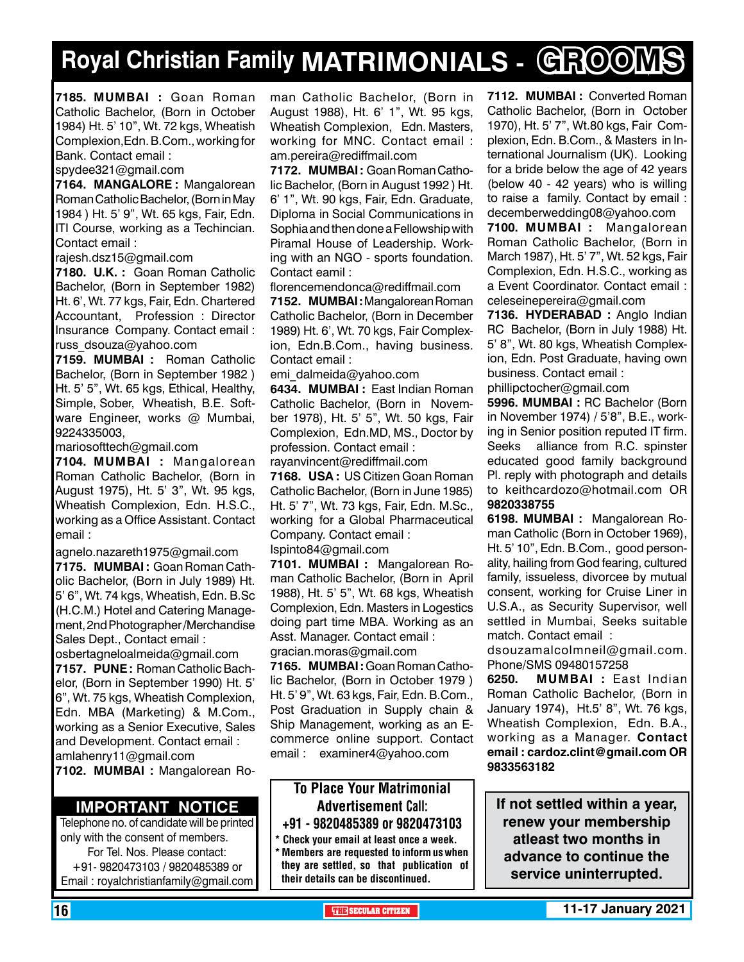# **Royal Christian Family MATRIMONIALS - GROOMS**

**7185. MUMBAI :** Goan Roman Catholic Bachelor, (Born in October 1984) Ht. 5' 10", Wt. 72 kgs, Wheatish Complexion,Edn. B.Com., working for Bank. Contact email :

spydee321@gmail.com

**7164. MANGALORE :** Mangalorean Roman Catholic Bachelor, (Born in May 1984 ) Ht. 5' 9", Wt. 65 kgs, Fair, Edn. ITI Course, working as a Techincian. Contact email :

rajesh.dsz15@gmail.com

**7180. U.K. :** Goan Roman Catholic Bachelor, (Born in September 1982) Ht. 6', Wt. 77 kgs, Fair, Edn. Chartered Accountant, Profession : Director Insurance Company. Contact email : russ\_dsouza@yahoo.com

**7159. MUMBAI :** Roman Catholic Bachelor, (Born in September 1982 ) Ht. 5' 5", Wt. 65 kgs, Ethical, Healthy, Simple, Sober, Wheatish, B.E. Software Engineer, works @ Mumbai, 9224335003,

mariosofttech@gmail.com

**7104. MUMBAI :** Mangalorean Roman Catholic Bachelor, (Born in August 1975), Ht. 5' 3", Wt. 95 kgs, Wheatish Complexion, Edn. H.S.C., working as a Office Assistant. Contact email :

agnelo.nazareth1975@gmail.com

**7175. MUMBAI :** Goan Roman Catholic Bachelor, (Born in July 1989) Ht. 5' 6", Wt. 74 kgs, Wheatish, Edn. B.Sc (H.C.M.) Hotel and Catering Management, 2nd Photographer /Merchandise Sales Dept., Contact email : osbertagneloalmeida@gmail.com **7157. PUNE :** Roman Catholic Bachelor, (Born in September 1990) Ht. 5'

6", Wt. 75 kgs, Wheatish Complexion, Edn. MBA (Marketing) & M.Com., working as a Senior Executive, Sales and Development. Contact email : amlahenry11@gmail.com

**7102. MUMBAI :** Mangalorean Ro-

#### **Important Notice**

Telephone no. of candidate will be printed only with the consent of members. For Tel. Nos. Please contact: +91- 9820473103 / 9820485389 or Email : royalchristianfamily@gmail.com man Catholic Bachelor, (Born in August 1988), Ht. 6' 1", Wt. 95 kgs, Wheatish Complexion, Edn. Masters, working for MNC. Contact email : am.pereira@rediffmail.com

**7172. MUMBAI :** Goan Roman Catholic Bachelor, (Born in August 1992 ) Ht. 6' 1", Wt. 90 kgs, Fair, Edn. Graduate, Diploma in Social Communications in Sophia and then done a Fellowship with Piramal House of Leadership. Working with an NGO - sports foundation. Contact eamil :

florencemendonca@rediffmail.com

**7152. MUMBAI :** Mangalorean Roman Catholic Bachelor, (Born in December 1989) Ht. 6', Wt. 70 kgs, Fair Complexion, Edn.B.Com., having business. Contact email :

emi\_dalmeida@yahoo.com

**6434. MUMBAI :** East Indian Roman Catholic Bachelor, (Born in November 1978), Ht. 5' 5", Wt. 50 kgs, Fair Complexion, Edn.MD, MS., Doctor by profession. Contact email :

rayanvincent@rediffmail.com **7168. USA :** US Citizen Goan Roman Catholic Bachelor, (Born in June 1985) Ht. 5' 7", Wt. 73 kgs, Fair, Edn. M.Sc., working for a Global Pharmaceutical Company. Contact email : Ispinto84@gmail.com

**7101. MUMBAI :** Mangalorean Roman Catholic Bachelor, (Born in April 1988), Ht. 5' 5", Wt. 68 kgs, Wheatish Complexion, Edn. Masters in Logestics doing part time MBA. Working as an Asst. Manager. Contact email : gracian.moras@gmail.com

**7165. MUMBAI :** Goan Roman Catholic Bachelor, (Born in October 1979 ) Ht. 5' 9", Wt. 63 kgs, Fair, Edn. B.Com., Post Graduation in Supply chain & Ship Management, working as an Ecommerce online support. Contact email : examiner4@yahoo.com

#### To Place Your Matrimonial Advertisement Call: +91 - 9820485389 or 9820473103

Check your email at least once a week. \* Members are requested to inform us when they are settled, so that publication of their details can be discontinued.

**7112. MUMBAI :** Converted Roman Catholic Bachelor, (Born in October 1970), Ht. 5' 7", Wt.80 kgs, Fair Complexion, Edn. B.Com., & Masters in International Journalism (UK). Looking for a bride below the age of 42 years (below 40 - 42 years) who is willing to raise a family. Contact by email : decemberwedding08@yahoo.com

**7100. MUMBAI :** Mangalorean Roman Catholic Bachelor, (Born in March 1987), Ht. 5' 7", Wt. 52 kgs, Fair Complexion, Edn. H.S.C., working as a Event Coordinator. Contact email : celeseinepereira@gmail.com

**7136. HYDERABAD :** Anglo Indian RC Bachelor, (Born in July 1988) Ht. 5' 8", Wt. 80 kgs, Wheatish Complexion, Edn. Post Graduate, having own business. Contact email :

phillipctocher@gmail.com

**5996. MUMBAI :** RC Bachelor (Born in November 1974) / 5'8", B.E., working in Senior position reputed IT firm. Seeks alliance from R.C. spinster educated good family background Pl. reply with photograph and details to keithcardozo@hotmail.com OR 9820338755

**6198. MUMBAI :** Mangalorean Roman Catholic (Born in October 1969), Ht. 5' 10", Edn. B.Com., good personality, hailing from God fearing, cultured family, issueless, divorcee by mutual consent, working for Cruise Liner in U.S.A., as Security Supervisor, well settled in Mumbai, Seeks suitable match. Contact email :

dsouzamalcolmneil@gmail.com. Phone/SMS 09480157258

**6250. MUMBAI :** East Indian Roman Catholic Bachelor, (Born in January 1974), Ht.5' 8", Wt. 76 kgs, Wheatish Complexion, Edn. B.A., working as a Manager. Contact email : cardoz.clint@gmail.com OR 9833563182

**If not settled within a year, renew your membership atleast two months in advance to continue the service uninterrupted.**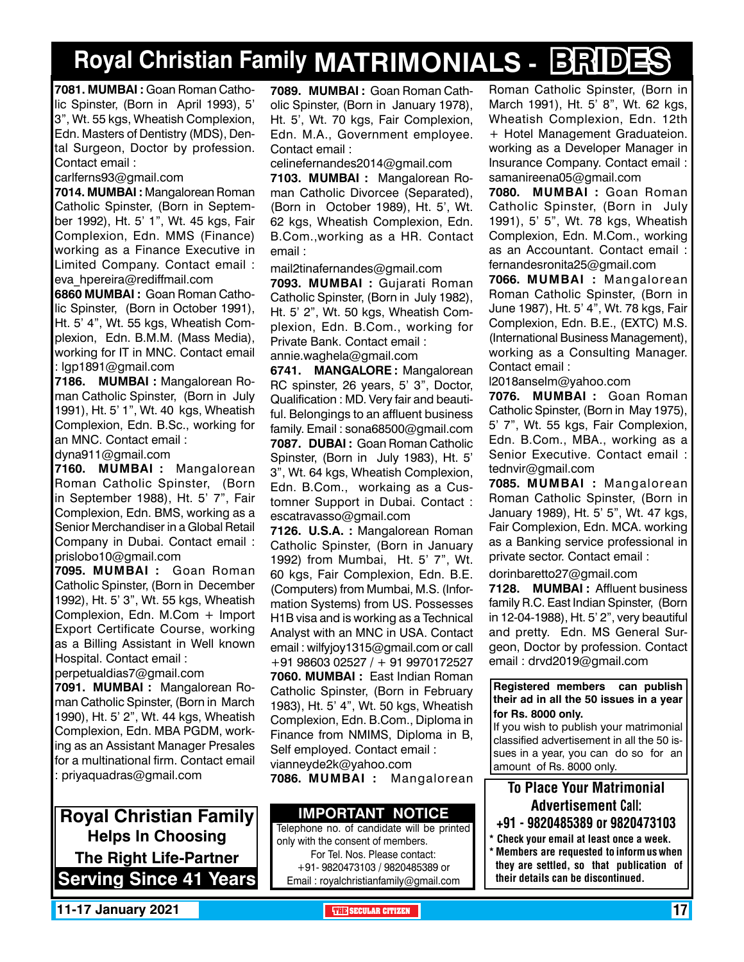# **Royal Christian Family MATRIMONIALS - BRIDES**

**7081. MUMBAI :** Goan Roman Catholic Spinster, (Born in April 1993), 5' 3", Wt. 55 kgs, Wheatish Complexion, Edn. Masters of Dentistry (MDS), Dental Surgeon, Doctor by profession. Contact email :

carlferns93@gmail.com

**7014. MUMBAI :** Mangalorean Roman Catholic Spinster, (Born in September 1992), Ht. 5' 1", Wt. 45 kgs, Fair Complexion, Edn. MMS (Finance) working as a Finance Executive in Limited Company. Contact email : eva\_hpereira@rediffmail.com

**6860 MUMBAI :** Goan Roman Catholic Spinster, (Born in October 1991), Ht. 5' 4", Wt. 55 kgs, Wheatish Complexion, Edn. B.M.M. (Mass Media), working for IT in MNC. Contact email : lgp1891@gmail.com

**7186. MUMBAI :** Mangalorean Roman Catholic Spinster, (Born in July 1991), Ht. 5' 1", Wt. 40 kgs, Wheatish Complexion, Edn. B.Sc., working for an MNC. Contact email : dyna911@gmail.com

**7160. MUMBAI :** Mangalorean Roman Catholic Spinster, (Born in September 1988), Ht. 5' 7", Fair Complexion, Edn. BMS, working as a Senior Merchandiser in a Global Retail Company in Dubai. Contact email : prislobo10@gmail.com

**7095. MUMBAI :** Goan Roman Catholic Spinster, (Born in December 1992), Ht. 5' 3", Wt. 55 kgs, Wheatish Complexion, Edn. M.Com + Import Export Certificate Course, working as a Billing Assistant in Well known Hospital. Contact email :

perpetualdias7@gmail.com **7091. MUMBAI :** Mangalorean Ro-

man Catholic Spinster, (Born in March 1990), Ht. 5' 2", Wt. 44 kgs, Wheatish Complexion, Edn. MBA PGDM, working as an Assistant Manager Presales for a multinational firm. Contact email : priyaquadras@gmail.com

**Royal Christian Family Helps In Choosing The Right Life-Partner Serving Since 41 Years** **7089. MUMBAI :** Goan Roman Catholic Spinster, (Born in January 1978), Ht. 5', Wt. 70 kgs, Fair Complexion, Edn. M.A., Government employee. Contact email :

celinefernandes2014@gmail.com

**7103. MUMBAI :** Mangalorean Roman Catholic Divorcee (Separated), (Born in October 1989), Ht. 5', Wt. 62 kgs, Wheatish Complexion, Edn. B.Com.,working as a HR. Contact email :

mail2tinafernandes@gmail.com

**7093. MUMBAI :** Gujarati Roman Catholic Spinster, (Born in July 1982), Ht. 5' 2", Wt. 50 kgs, Wheatish Complexion, Edn. B.Com., working for Private Bank. Contact email : annie.waghela@gmail.com

**6741. MANGALORE :** Mangalorean RC spinster, 26 years, 5' 3", Doctor, Qualification : MD. Very fair and beautiful. Belongings to an affluent business family. Email : sona68500@gmail.com **7087. DUBAI :** Goan Roman Catholic Spinster, (Born in July 1983), Ht. 5' 3", Wt. 64 kgs, Wheatish Complexion, Edn. B.Com., workaing as a Customner Support in Dubai. Contact : escatravasso@gmail.com

**7126. U.S.A. :** Mangalorean Roman Catholic Spinster, (Born in January 1992) from Mumbai, Ht. 5' 7", Wt. 60 kgs, Fair Complexion, Edn. B.E. (Computers) from Mumbai, M.S. (Information Systems) from US. Possesses H1B visa and is working as a Technical Analyst with an MNC in USA. Contact email : wilfyjoy1315@gmail.com or call +91 98603 02527 / + 91 9970172527 **7060. MUMBAI :** East Indian Roman Catholic Spinster, (Born in February 1983), Ht. 5' 4", Wt. 50 kgs, Wheatish Complexion, Edn. B.Com., Diploma in Finance from NMIMS, Diploma in B, Self employed. Contact email : vianneyde2k@yahoo.com

**7086. MUMBAI :** Mangalorean

#### **Important Notice**

Telephone no. of candidate will be printed only with the consent of members. For Tel. Nos. Please contact: +91- 9820473103 / 9820485389 or Email : royalchristianfamily@gmail.com

Roman Catholic Spinster, (Born in March 1991), Ht. 5' 8", Wt. 62 kgs, Wheatish Complexion, Edn. 12th + Hotel Management Graduateion. working as a Developer Manager in Insurance Company. Contact email : samanireena05@gmail.com

**7080. MUMBAI :** Goan Roman Catholic Spinster, (Born in July 1991), 5' 5", Wt. 78 kgs, Wheatish Complexion, Edn. M.Com., working as an Accountant. Contact email : fernandesronita25@gmail.com

**7066. MUMBAI :** Mangalorean Roman Catholic Spinster, (Born in June 1987), Ht. 5' 4", Wt. 78 kgs, Fair Complexion, Edn. B.E., (EXTC) M.S. (International Business Management), working as a Consulting Manager. Contact email :

l2018anselm@yahoo.com

**7076. MUMBAI :** Goan Roman Catholic Spinster, (Born in May 1975), 5' 7", Wt. 55 kgs, Fair Complexion, Edn. B.Com., MBA., working as a Senior Executive. Contact email : tednvir@gmail.com

**7085. MUMBAI :** Mangalorean Roman Catholic Spinster, (Born in January 1989), Ht. 5' 5", Wt. 47 kgs, Fair Complexion, Edn. MCA. working as a Banking service professional in private sector. Contact email :

dorinbaretto27@gmail.com

**7128. MUMBAI :** Affluent business family R.C. East Indian Spinster, (Born in 12-04-1988), Ht. 5' 2", very beautiful and pretty. Edn. MS General Surgeon, Doctor by profession. Contact email : drvd2019@gmail.com

**Registered members can publish their ad in all the 50 issues in a year for Rs. 8000 only.**

If you wish to publish your matrimonial classified advertisement in all the 50 issues in a year, you can do so for an amount of Rs. 8000 only.

#### To Place Your Matrimonial Advertisement Call:

- +91 9820485389 or 9820473103
- Check your email at least once a week. Members are requested to inform us when they are settled, so that publication of their details can be discontinued.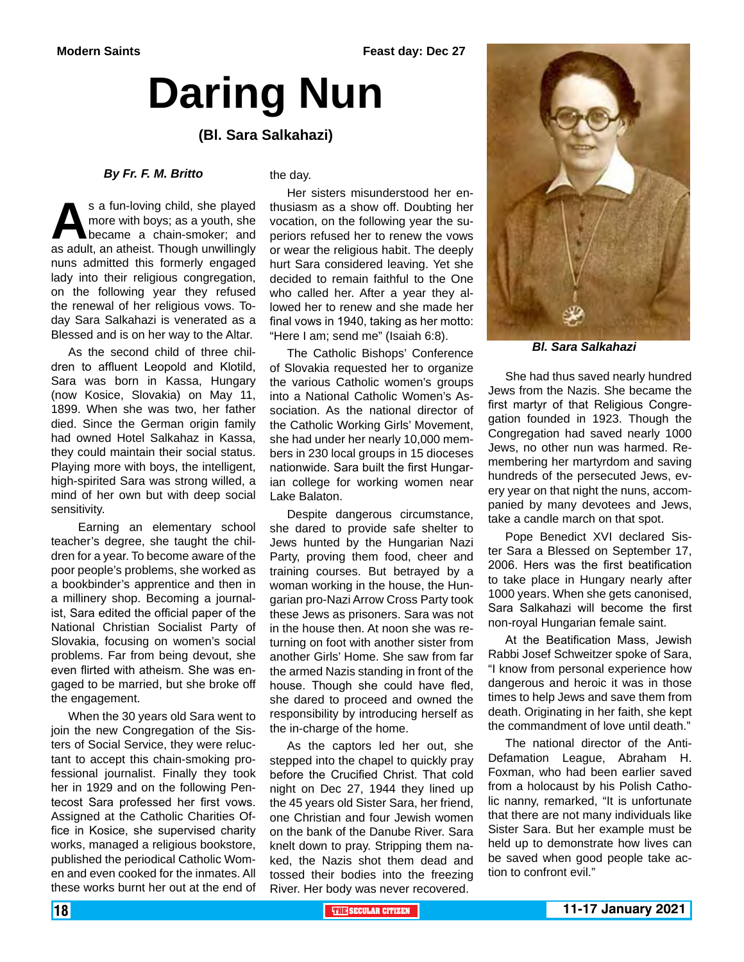# **Daring Nun**

#### **(Bl. Sara Salkahazi)**

#### *By Fr. F. M. Britto*

s a fun-loving child, she played<br>
more with boys; as a youth, she<br>
became a chain-smoker; and<br>
as adult, an atheist. Though unwillingly more with boys; as a youth, she became a chain-smoker; and nuns admitted this formerly engaged lady into their religious congregation, on the following year they refused the renewal of her religious vows. Today Sara Salkahazi is venerated as a Blessed and is on her way to the Altar.

As the second child of three children to affluent Leopold and Klotild, Sara was born in Kassa, Hungary (now Kosice, Slovakia) on May 11, 1899. When she was two, her father died. Since the German origin family had owned Hotel Salkahaz in Kassa, they could maintain their social status. Playing more with boys, the intelligent, high-spirited Sara was strong willed, a mind of her own but with deep social sensitivity.

 Earning an elementary school teacher's degree, she taught the children for a year. To become aware of the poor people's problems, she worked as a bookbinder's apprentice and then in a millinery shop. Becoming a journalist, Sara edited the official paper of the National Christian Socialist Party of Slovakia, focusing on women's social problems. Far from being devout, she even flirted with atheism. She was engaged to be married, but she broke off the engagement.

When the 30 years old Sara went to join the new Congregation of the Sisters of Social Service, they were reluctant to accept this chain-smoking professional journalist. Finally they took her in 1929 and on the following Pentecost Sara professed her first vows. Assigned at the Catholic Charities Office in Kosice, she supervised charity works, managed a religious bookstore, published the periodical Catholic Women and even cooked for the inmates. All these works burnt her out at the end of

#### the day.

Her sisters misunderstood her enthusiasm as a show off. Doubting her vocation, on the following year the superiors refused her to renew the vows or wear the religious habit. The deeply hurt Sara considered leaving. Yet she decided to remain faithful to the One who called her. After a year they allowed her to renew and she made her final vows in 1940, taking as her motto: "Here I am; send me" (Isaiah 6:8).

The Catholic Bishops' Conference of Slovakia requested her to organize the various Catholic women's groups into a National Catholic Women's Association. As the national director of the Catholic Working Girls' Movement, she had under her nearly 10,000 members in 230 local groups in 15 dioceses nationwide. Sara built the first Hungarian college for working women near Lake Balaton.

Despite dangerous circumstance, she dared to provide safe shelter to Jews hunted by the Hungarian Nazi Party, proving them food, cheer and training courses. But betrayed by a woman working in the house, the Hungarian pro-Nazi Arrow Cross Party took these Jews as prisoners. Sara was not in the house then. At noon she was returning on foot with another sister from another Girls' Home. She saw from far the armed Nazis standing in front of the house. Though she could have fled, she dared to proceed and owned the responsibility by introducing herself as the in-charge of the home.

As the captors led her out, she stepped into the chapel to quickly pray before the Crucified Christ. That cold night on Dec 27, 1944 they lined up the 45 years old Sister Sara, her friend, one Christian and four Jewish women on the bank of the Danube River. Sara knelt down to pray. Stripping them naked, the Nazis shot them dead and tossed their bodies into the freezing River. Her body was never recovered.



*Bl. Sara Salkahazi*

She had thus saved nearly hundred Jews from the Nazis. She became the first martyr of that Religious Congregation founded in 1923. Though the Congregation had saved nearly 1000 Jews, no other nun was harmed. Remembering her martyrdom and saving hundreds of the persecuted Jews, every year on that night the nuns, accompanied by many devotees and Jews, take a candle march on that spot.

Pope Benedict XVI declared Sister Sara a Blessed on September 17, 2006. Hers was the first beatification to take place in Hungary nearly after 1000 years. When she gets canonised, Sara Salkahazi will become the first non-royal Hungarian female saint.

At the Beatification Mass, Jewish Rabbi Josef Schweitzer spoke of Sara, "I know from personal experience how dangerous and heroic it was in those times to help Jews and save them from death. Originating in her faith, she kept the commandment of love until death."

The national director of the Anti-Defamation League, Abraham H. Foxman, who had been earlier saved from a holocaust by his Polish Catholic nanny, remarked, "It is unfortunate that there are not many individuals like Sister Sara. But her example must be held up to demonstrate how lives can be saved when good people take action to confront evil."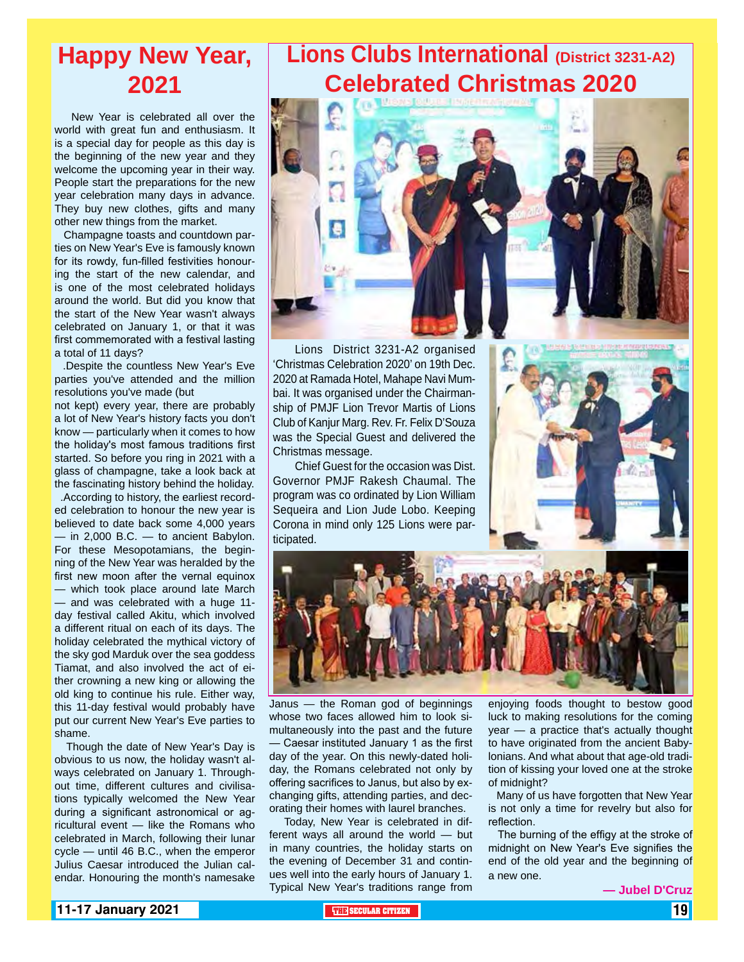## **Happy New Year, 2021**

 New Year is celebrated all over the world with great fun and enthusiasm. It is a special day for people as this day is the beginning of the new year and they welcome the upcoming year in their way. People start the preparations for the new year celebration many days in advance. They buy new clothes, gifts and many other new things from the market.

 Champagne toasts and countdown parties on New Year's Eve is famously known for its rowdy, fun-filled festivities honouring the start of the new calendar, and is one of the most celebrated holidays around the world. But did you know that the start of the New Year wasn't always celebrated on January 1, or that it was first commemorated with a festival lasting a total of 11 days?

 .Despite the countless New Year's Eve parties you've attended and the million resolutions you've made (but

not kept) every year, there are probably a lot of New Year's history facts you don't know — particularly when it comes to how the holiday's most famous traditions first started. So before you ring in 2021 with a glass of champagne, take a look back at the fascinating history behind the holiday.

 .According to history, the earliest recorded celebration to honour the new year is believed to date back some 4,000 years — in 2,000 B.C. — to ancient Babylon. For these Mesopotamians, the beginning of the New Year was heralded by the first new moon after the vernal equinox — which took place around late March — and was celebrated with a huge 11 day festival called Akitu, which involved a different ritual on each of its days. The holiday celebrated the mythical victory of the sky god Marduk over the sea goddess Tiamat, and also involved the act of either crowning a new king or allowing the old king to continue his rule. Either way, this 11-day festival would probably have put our current New Year's Eve parties to shame.

 Though the date of New Year's Day is obvious to us now, the holiday wasn't always celebrated on January 1. Throughout time, different cultures and civilisations typically welcomed the New Year during a significant astronomical or agricultural event — like the Romans who celebrated in March, following their lunar cycle — until 46 B.C., when the emperor Julius Caesar introduced the Julian calendar. Honouring the month's namesake

## **Lions Clubs International (District 3231-A2) Celebrated Christmas 2020**



Lions District 3231-A2 organised 'Christmas Celebration 2020' on 19th Dec. 2020 at Ramada Hotel, Mahape Navi Mumbai. It was organised under the Chairmanship of PMJF Lion Trevor Martis of Lions Club of Kanjur Marg. Rev. Fr. Felix D'Souza was the Special Guest and delivered the Christmas message.

Chief Guest for the occasion was Dist. Governor PMJF Rakesh Chaumal. The program was co ordinated by Lion William Sequeira and Lion Jude Lobo. Keeping Corona in mind only 125 Lions were participated.



Janus — the Roman god of beginnings whose two faces allowed him to look simultaneously into the past and the future — Caesar instituted January 1 as the first day of the year. On this newly-dated holiday, the Romans celebrated not only by offering sacrifices to Janus, but also by exchanging gifts, attending parties, and decorating their homes with laurel branches.

 Today, New Year is celebrated in different ways all around the world — but in many countries, the holiday starts on the evening of December 31 and continues well into the early hours of January 1. Typical New Year's traditions range from

enjoying foods thought to bestow good luck to making resolutions for the coming year — a practice that's actually thought to have originated from the ancient Babylonians. And what about that age-old tradition of kissing your loved one at the stroke of midnight?

 Many of us have forgotten that New Year is not only a time for revelry but also for reflection.

The burning of the effigy at the stroke of midnight on New Year's Eve signifies the end of the old year and the beginning of a new one.